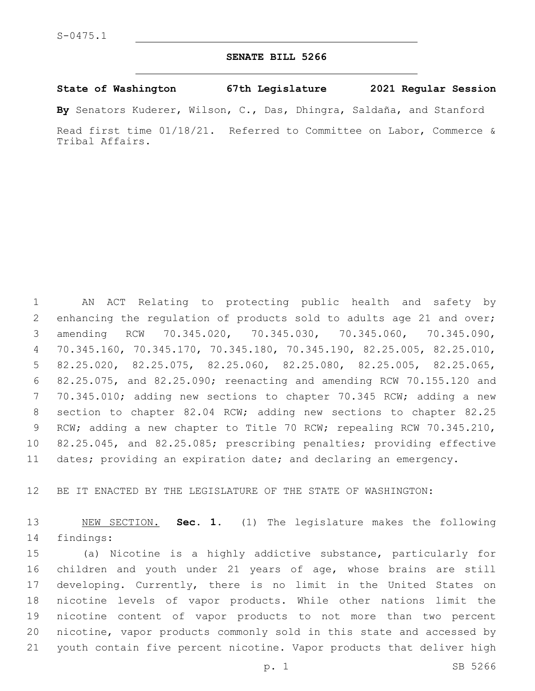## **SENATE BILL 5266**

**State of Washington 67th Legislature 2021 Regular Session**

**By** Senators Kuderer, Wilson, C., Das, Dhingra, Saldaña, and Stanford

Read first time 01/18/21. Referred to Committee on Labor, Commerce & Tribal Affairs.

 AN ACT Relating to protecting public health and safety by enhancing the regulation of products sold to adults age 21 and over; amending RCW 70.345.020, 70.345.030, 70.345.060, 70.345.090, 70.345.160, 70.345.170, 70.345.180, 70.345.190, 82.25.005, 82.25.010, 82.25.020, 82.25.075, 82.25.060, 82.25.080, 82.25.005, 82.25.065, 82.25.075, and 82.25.090; reenacting and amending RCW 70.155.120 and 70.345.010; adding new sections to chapter 70.345 RCW; adding a new section to chapter 82.04 RCW; adding new sections to chapter 82.25 RCW; adding a new chapter to Title 70 RCW; repealing RCW 70.345.210, 82.25.045, and 82.25.085; prescribing penalties; providing effective dates; providing an expiration date; and declaring an emergency.

BE IT ENACTED BY THE LEGISLATURE OF THE STATE OF WASHINGTON:

 NEW SECTION. **Sec. 1.** (1) The legislature makes the following findings:

 (a) Nicotine is a highly addictive substance, particularly for children and youth under 21 years of age, whose brains are still developing. Currently, there is no limit in the United States on nicotine levels of vapor products. While other nations limit the nicotine content of vapor products to not more than two percent nicotine, vapor products commonly sold in this state and accessed by youth contain five percent nicotine. Vapor products that deliver high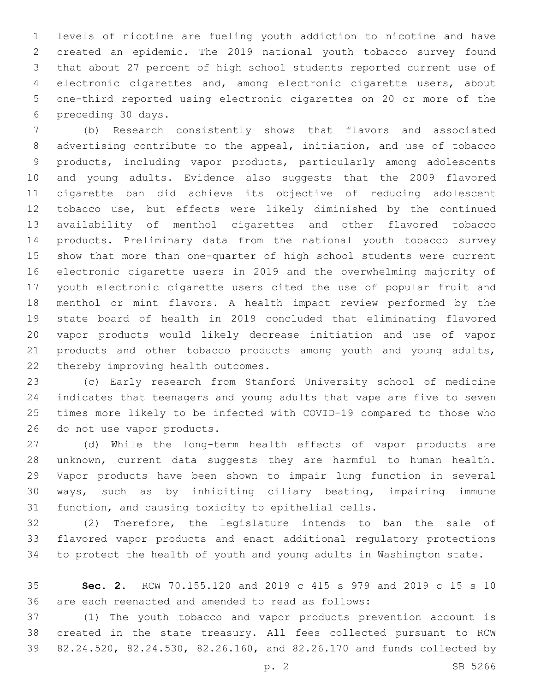levels of nicotine are fueling youth addiction to nicotine and have created an epidemic. The 2019 national youth tobacco survey found that about 27 percent of high school students reported current use of electronic cigarettes and, among electronic cigarette users, about one-third reported using electronic cigarettes on 20 or more of the 6 preceding 30 days.

 (b) Research consistently shows that flavors and associated advertising contribute to the appeal, initiation, and use of tobacco products, including vapor products, particularly among adolescents and young adults. Evidence also suggests that the 2009 flavored cigarette ban did achieve its objective of reducing adolescent tobacco use, but effects were likely diminished by the continued availability of menthol cigarettes and other flavored tobacco products. Preliminary data from the national youth tobacco survey show that more than one-quarter of high school students were current electronic cigarette users in 2019 and the overwhelming majority of youth electronic cigarette users cited the use of popular fruit and menthol or mint flavors. A health impact review performed by the state board of health in 2019 concluded that eliminating flavored vapor products would likely decrease initiation and use of vapor 21 products and other tobacco products among youth and young adults, 22 thereby improving health outcomes.

 (c) Early research from Stanford University school of medicine indicates that teenagers and young adults that vape are five to seven times more likely to be infected with COVID-19 compared to those who 26 do not use vapor products.

 (d) While the long-term health effects of vapor products are unknown, current data suggests they are harmful to human health. Vapor products have been shown to impair lung function in several ways, such as by inhibiting ciliary beating, impairing immune function, and causing toxicity to epithelial cells.

 (2) Therefore, the legislature intends to ban the sale of flavored vapor products and enact additional regulatory protections to protect the health of youth and young adults in Washington state.

 **Sec. 2.** RCW 70.155.120 and 2019 c 415 s 979 and 2019 c 15 s 10 are each reenacted and amended to read as follows:

 (1) The youth tobacco and vapor products prevention account is created in the state treasury. All fees collected pursuant to RCW 82.24.520, 82.24.530, 82.26.160, and 82.26.170 and funds collected by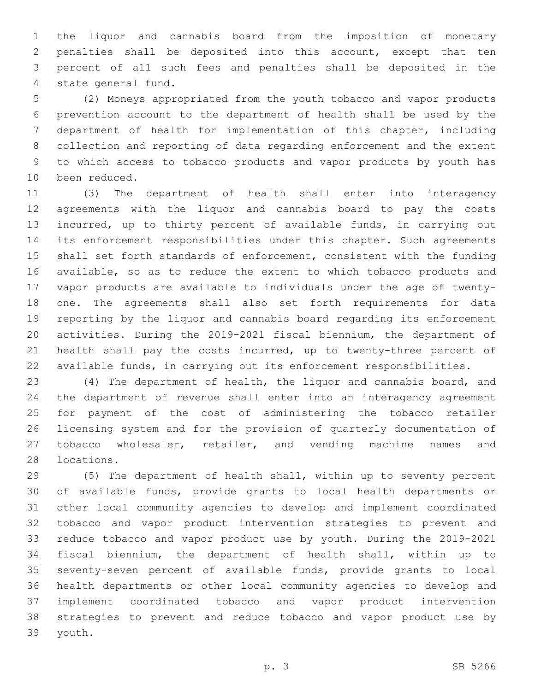the liquor and cannabis board from the imposition of monetary penalties shall be deposited into this account, except that ten percent of all such fees and penalties shall be deposited in the 4 state general fund.

 (2) Moneys appropriated from the youth tobacco and vapor products prevention account to the department of health shall be used by the department of health for implementation of this chapter, including collection and reporting of data regarding enforcement and the extent to which access to tobacco products and vapor products by youth has 10 been reduced.

 (3) The department of health shall enter into interagency agreements with the liquor and cannabis board to pay the costs incurred, up to thirty percent of available funds, in carrying out its enforcement responsibilities under this chapter. Such agreements shall set forth standards of enforcement, consistent with the funding available, so as to reduce the extent to which tobacco products and vapor products are available to individuals under the age of twenty- one. The agreements shall also set forth requirements for data reporting by the liquor and cannabis board regarding its enforcement activities. During the 2019-2021 fiscal biennium, the department of health shall pay the costs incurred, up to twenty-three percent of available funds, in carrying out its enforcement responsibilities.

 (4) The department of health, the liquor and cannabis board, and the department of revenue shall enter into an interagency agreement for payment of the cost of administering the tobacco retailer licensing system and for the provision of quarterly documentation of 27 tobacco wholesaler, retailer, and vending machine names and 28 locations.

 (5) The department of health shall, within up to seventy percent of available funds, provide grants to local health departments or other local community agencies to develop and implement coordinated tobacco and vapor product intervention strategies to prevent and reduce tobacco and vapor product use by youth. During the 2019-2021 fiscal biennium, the department of health shall, within up to seventy-seven percent of available funds, provide grants to local health departments or other local community agencies to develop and implement coordinated tobacco and vapor product intervention strategies to prevent and reduce tobacco and vapor product use by 39 youth.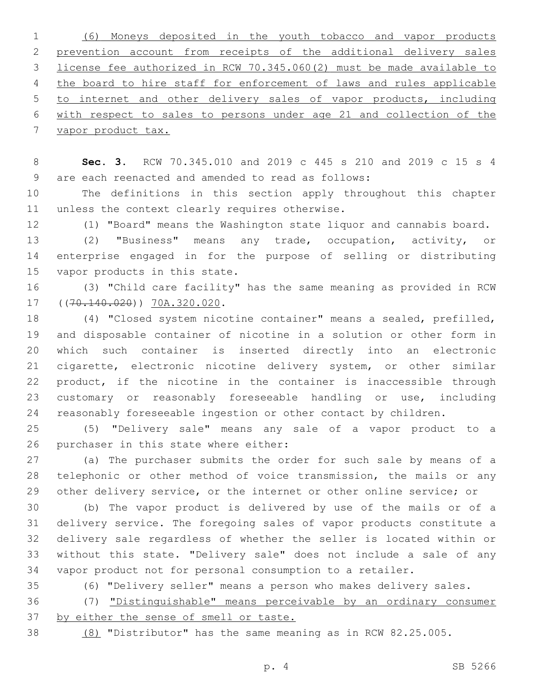(6) Moneys deposited in the youth tobacco and vapor products prevention account from receipts of the additional delivery sales license fee authorized in RCW 70.345.060(2) must be made available to 4 the board to hire staff for enforcement of laws and rules applicable to internet and other delivery sales of vapor products, including with respect to sales to persons under age 21 and collection of the

vapor product tax.

 **Sec. 3.** RCW 70.345.010 and 2019 c 445 s 210 and 2019 c 15 s 4 9 are each reenacted and amended to read as follows:

 The definitions in this section apply throughout this chapter 11 unless the context clearly requires otherwise.

(1) "Board" means the Washington state liquor and cannabis board.

 (2) "Business" means any trade, occupation, activity, or enterprise engaged in for the purpose of selling or distributing 15 vapor products in this state.

 (3) "Child care facility" has the same meaning as provided in RCW 17 ((70.140.020)) 70A.320.020.

 (4) "Closed system nicotine container" means a sealed, prefilled, and disposable container of nicotine in a solution or other form in which such container is inserted directly into an electronic cigarette, electronic nicotine delivery system, or other similar product, if the nicotine in the container is inaccessible through customary or reasonably foreseeable handling or use, including reasonably foreseeable ingestion or other contact by children.

 (5) "Delivery sale" means any sale of a vapor product to a 26 purchaser in this state where either:

 (a) The purchaser submits the order for such sale by means of a telephonic or other method of voice transmission, the mails or any 29 other delivery service, or the internet or other online service; or

 (b) The vapor product is delivered by use of the mails or of a delivery service. The foregoing sales of vapor products constitute a delivery sale regardless of whether the seller is located within or without this state. "Delivery sale" does not include a sale of any vapor product not for personal consumption to a retailer.

(6) "Delivery seller" means a person who makes delivery sales.

 (7) "Distinguishable" means perceivable by an ordinary consumer by either the sense of smell or taste.

(8) "Distributor" has the same meaning as in RCW 82.25.005.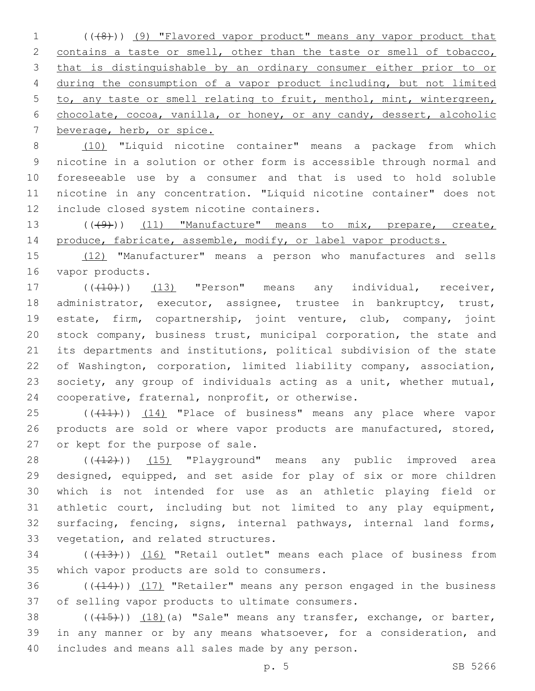(((8))) (9) "Flavored vapor product" means any vapor product that 2 contains a taste or smell, other than the taste or smell of tobacco, that is distinguishable by an ordinary consumer either prior to or during the consumption of a vapor product including, but not limited to, any taste or smell relating to fruit, menthol, mint, wintergreen, chocolate, cocoa, vanilla, or honey, or any candy, dessert, alcoholic beverage, herb, or spice.

 (10) "Liquid nicotine container" means a package from which nicotine in a solution or other form is accessible through normal and foreseeable use by a consumer and that is used to hold soluble nicotine in any concentration. "Liquid nicotine container" does not 12 include closed system nicotine containers.

13 ((+9)) (11) "Manufacture" means to mix, prepare, create, 14 produce, fabricate, assemble, modify, or label vapor products.

15 (12) "Manufacturer" means a person who manufactures and sells 16 vapor products.

17 (( $(410)$ ) (13) "Person" means any individual, receiver, 18 administrator, executor, assignee, trustee in bankruptcy, trust, estate, firm, copartnership, joint venture, club, company, joint stock company, business trust, municipal corporation, the state and its departments and institutions, political subdivision of the state of Washington, corporation, limited liability company, association, society, any group of individuals acting as a unit, whether mutual, 24 cooperative, fraternal, nonprofit, or otherwise.

25 (((41))) (14) "Place of business" means any place where vapor 26 products are sold or where vapor products are manufactured, stored, 27 or kept for the purpose of sale.

28 ((+12)) (15) "Playground" means any public improved area designed, equipped, and set aside for play of six or more children which is not intended for use as an athletic playing field or athletic court, including but not limited to any play equipment, surfacing, fencing, signs, internal pathways, internal land forms, 33 vegetation, and related structures.

34 (( $(13)$ )) (16) "Retail outlet" means each place of business from 35 which vapor products are sold to consumers.

36  $((+14))$   $(17)$  "Retailer" means any person engaged in the business 37 of selling vapor products to ultimate consumers.

38  $((+15))$   $(18)$  (a) "Sale" means any transfer, exchange, or barter, 39 in any manner or by any means whatsoever, for a consideration, and 40 includes and means all sales made by any person.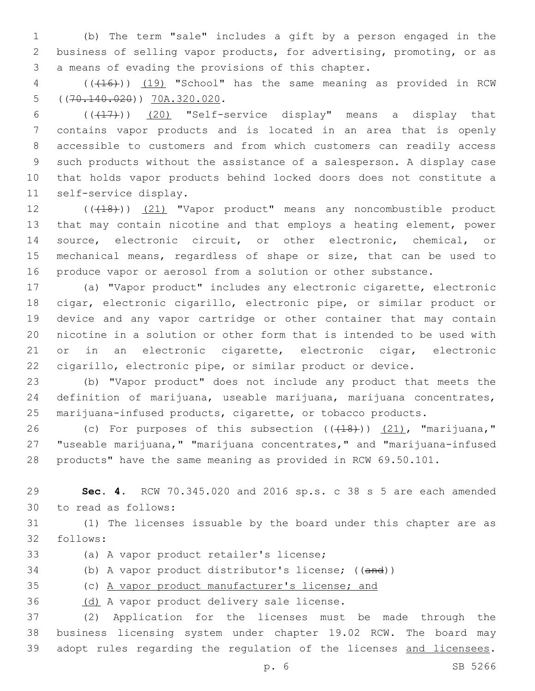(b) The term "sale" includes a gift by a person engaged in the business of selling vapor products, for advertising, promoting, or as 3 a means of evading the provisions of this chapter.

4 (( $(16)$ )) (19) "School" has the same meaning as provided in RCW 5 ((70.140.020)) 70A.320.020.

 $((+17))$   $(20)$  "Self-service display" means a display that contains vapor products and is located in an area that is openly accessible to customers and from which customers can readily access such products without the assistance of a salesperson. A display case that holds vapor products behind locked doors does not constitute a 11 self-service display.

12 (((18))) (21) "Vapor product" means any noncombustible product that may contain nicotine and that employs a heating element, power source, electronic circuit, or other electronic, chemical, or mechanical means, regardless of shape or size, that can be used to produce vapor or aerosol from a solution or other substance.

 (a) "Vapor product" includes any electronic cigarette, electronic cigar, electronic cigarillo, electronic pipe, or similar product or device and any vapor cartridge or other container that may contain nicotine in a solution or other form that is intended to be used with or in an electronic cigarette, electronic cigar, electronic cigarillo, electronic pipe, or similar product or device.

 (b) "Vapor product" does not include any product that meets the definition of marijuana, useable marijuana, marijuana concentrates, marijuana-infused products, cigarette, or tobacco products.

26 (c) For purposes of this subsection  $((+18))$   $(21)$ , "marijuana," "useable marijuana," "marijuana concentrates," and "marijuana-infused products" have the same meaning as provided in RCW 69.50.101.

 **Sec. 4.** RCW 70.345.020 and 2016 sp.s. c 38 s 5 are each amended 30 to read as follows:

 (1) The licenses issuable by the board under this chapter are as follows:32

33 (a) A vapor product retailer's license;

34 (b) A vapor product distributor's license; ((and))

(c) A vapor product manufacturer's license; and

36 (d) A vapor product delivery sale license.

 (2) Application for the licenses must be made through the business licensing system under chapter 19.02 RCW. The board may 39 adopt rules regarding the regulation of the licenses and licensees.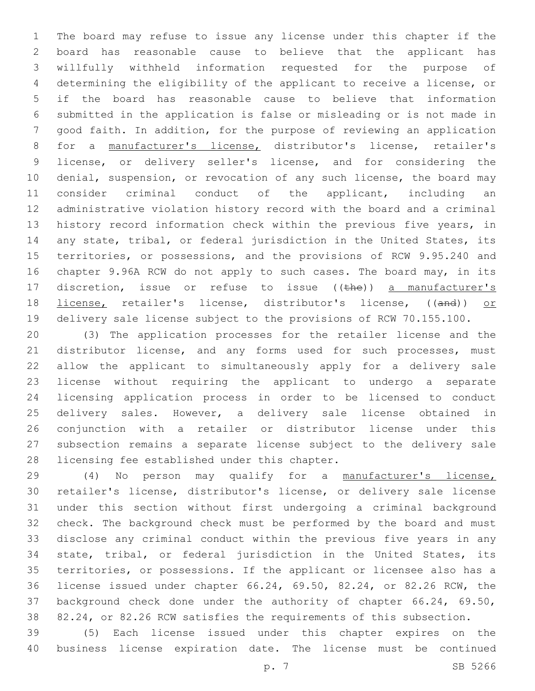The board may refuse to issue any license under this chapter if the board has reasonable cause to believe that the applicant has willfully withheld information requested for the purpose of determining the eligibility of the applicant to receive a license, or if the board has reasonable cause to believe that information submitted in the application is false or misleading or is not made in good faith. In addition, for the purpose of reviewing an application for a manufacturer's license, distributor's license, retailer's license, or delivery seller's license, and for considering the denial, suspension, or revocation of any such license, the board may consider criminal conduct of the applicant, including an administrative violation history record with the board and a criminal history record information check within the previous five years, in any state, tribal, or federal jurisdiction in the United States, its territories, or possessions, and the provisions of RCW 9.95.240 and chapter 9.96A RCW do not apply to such cases. The board may, in its 17 discretion, issue or refuse to issue ((the)) a manufacturer's 18 license, retailer's license, distributor's license, ((and)) or delivery sale license subject to the provisions of RCW 70.155.100.

 (3) The application processes for the retailer license and the 21 distributor license, and any forms used for such processes, must allow the applicant to simultaneously apply for a delivery sale license without requiring the applicant to undergo a separate licensing application process in order to be licensed to conduct delivery sales. However, a delivery sale license obtained in conjunction with a retailer or distributor license under this subsection remains a separate license subject to the delivery sale 28 licensing fee established under this chapter.

 (4) No person may qualify for a manufacturer's license, retailer's license, distributor's license, or delivery sale license under this section without first undergoing a criminal background check. The background check must be performed by the board and must disclose any criminal conduct within the previous five years in any state, tribal, or federal jurisdiction in the United States, its territories, or possessions. If the applicant or licensee also has a license issued under chapter 66.24, 69.50, 82.24, or 82.26 RCW, the background check done under the authority of chapter 66.24, 69.50, 82.24, or 82.26 RCW satisfies the requirements of this subsection.

 (5) Each license issued under this chapter expires on the business license expiration date. The license must be continued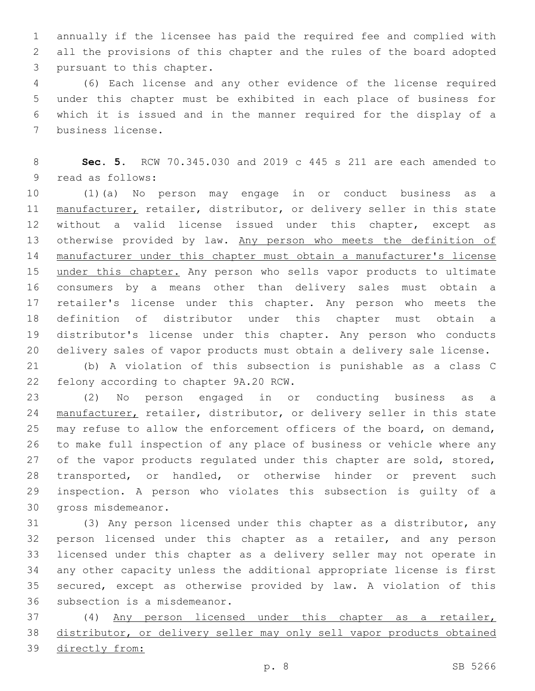annually if the licensee has paid the required fee and complied with all the provisions of this chapter and the rules of the board adopted 3 pursuant to this chapter.

 (6) Each license and any other evidence of the license required under this chapter must be exhibited in each place of business for which it is issued and in the manner required for the display of a 7 business license.

 **Sec. 5.** RCW 70.345.030 and 2019 c 445 s 211 are each amended to 9 read as follows:

 (1)(a) No person may engage in or conduct business as a 11 manufacturer, retailer, distributor, or delivery seller in this state without a valid license issued under this chapter, except as 13 otherwise provided by law. Any person who meets the definition of manufacturer under this chapter must obtain a manufacturer's license 15 under this chapter. Any person who sells vapor products to ultimate consumers by a means other than delivery sales must obtain a retailer's license under this chapter. Any person who meets the definition of distributor under this chapter must obtain a distributor's license under this chapter. Any person who conducts delivery sales of vapor products must obtain a delivery sale license.

 (b) A violation of this subsection is punishable as a class C 22 felony according to chapter 9A.20 RCW.

 (2) No person engaged in or conducting business as a 24 manufacturer, retailer, distributor, or delivery seller in this state may refuse to allow the enforcement officers of the board, on demand, to make full inspection of any place of business or vehicle where any 27 of the vapor products regulated under this chapter are sold, stored, transported, or handled, or otherwise hinder or prevent such inspection. A person who violates this subsection is guilty of a 30 gross misdemeanor.

 (3) Any person licensed under this chapter as a distributor, any person licensed under this chapter as a retailer, and any person licensed under this chapter as a delivery seller may not operate in any other capacity unless the additional appropriate license is first secured, except as otherwise provided by law. A violation of this 36 subsection is a misdemeanor.

 (4) Any person licensed under this chapter as a retailer, distributor, or delivery seller may only sell vapor products obtained directly from: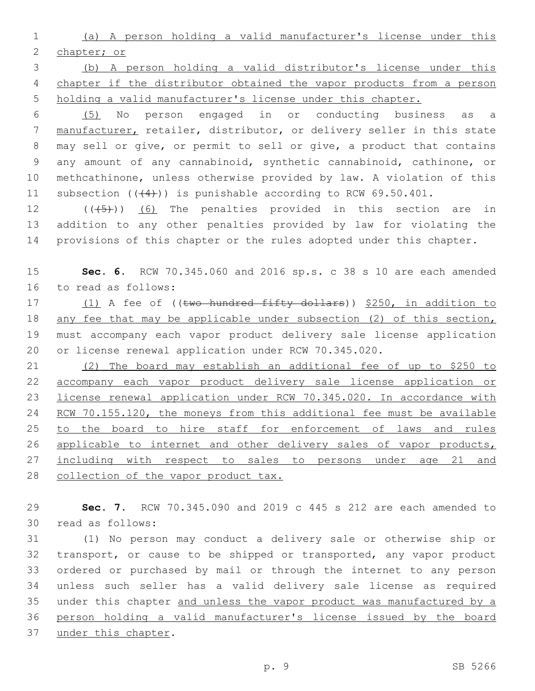(a) A person holding a valid manufacturer's license under this chapter; or

 (b) A person holding a valid distributor's license under this chapter if the distributor obtained the vapor products from a person holding a valid manufacturer's license under this chapter.

 (5) No person engaged in or conducting business as a manufacturer, retailer, distributor, or delivery seller in this state may sell or give, or permit to sell or give, a product that contains any amount of any cannabinoid, synthetic cannabinoid, cathinone, or methcathinone, unless otherwise provided by law. A violation of this 11 subsection  $((44))$  is punishable according to RCW 69.50.401.

12  $((+5+))$  (6) The penalties provided in this section are in addition to any other penalties provided by law for violating the provisions of this chapter or the rules adopted under this chapter.

 **Sec. 6.** RCW 70.345.060 and 2016 sp.s. c 38 s 10 are each amended 16 to read as follows:

17 (1) A fee of ((two hundred fifty dollars)) \$250, in addition to 18 any fee that may be applicable under subsection (2) of this section, must accompany each vapor product delivery sale license application or license renewal application under RCW 70.345.020.

 (2) The board may establish an additional fee of up to \$250 to accompany each vapor product delivery sale license application or license renewal application under RCW 70.345.020. In accordance with 24 RCW 70.155.120, the moneys from this additional fee must be available to the board to hire staff for enforcement of laws and rules applicable to internet and other delivery sales of vapor products, 27 including with respect to sales to persons under age 21 and collection of the vapor product tax.

 **Sec. 7.** RCW 70.345.090 and 2019 c 445 s 212 are each amended to 30 read as follows:

 (1) No person may conduct a delivery sale or otherwise ship or transport, or cause to be shipped or transported, any vapor product ordered or purchased by mail or through the internet to any person unless such seller has a valid delivery sale license as required under this chapter and unless the vapor product was manufactured by a person holding a valid manufacturer's license issued by the board 37 under this chapter.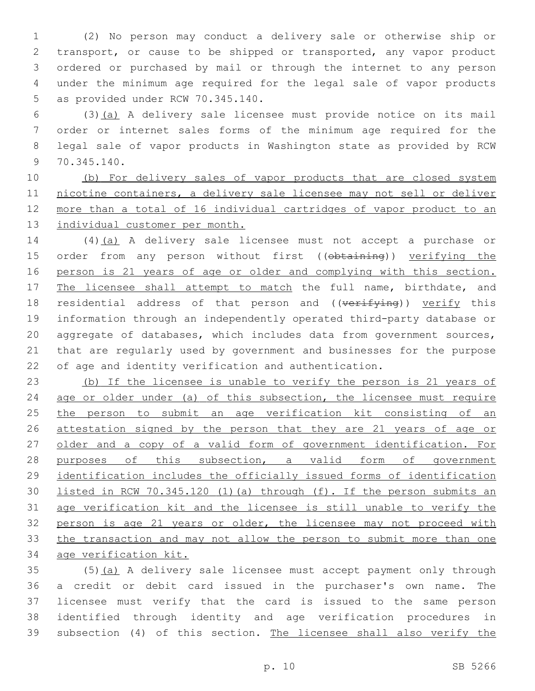(2) No person may conduct a delivery sale or otherwise ship or transport, or cause to be shipped or transported, any vapor product ordered or purchased by mail or through the internet to any person under the minimum age required for the legal sale of vapor products 5 as provided under RCW 70.345.140.

 (3)(a) A delivery sale licensee must provide notice on its mail order or internet sales forms of the minimum age required for the legal sale of vapor products in Washington state as provided by RCW 70.345.140.9

 (b) For delivery sales of vapor products that are closed system nicotine containers, a delivery sale licensee may not sell or deliver more than a total of 16 individual cartridges of vapor product to an individual customer per month.

 (4)(a) A delivery sale licensee must not accept a purchase or 15 order from any person without first ((obtaining)) verifying the person is 21 years of age or older and complying with this section. 17 The licensee shall attempt to match the full name, birthdate, and 18 residential address of that person and ((verifying)) verify this information through an independently operated third-party database or aggregate of databases, which includes data from government sources, that are regularly used by government and businesses for the purpose of age and identity verification and authentication.

 (b) If the licensee is unable to verify the person is 21 years of age or older under (a) of this subsection, the licensee must require 25 the person to submit an age verification kit consisting of an 26 attestation signed by the person that they are 21 years of age or older and a copy of a valid form of government identification. For 28 purposes of this subsection, a valid form of government identification includes the officially issued forms of identification listed in RCW 70.345.120 (1)(a) through (f). If the person submits an age verification kit and the licensee is still unable to verify the 32 person is age 21 years or older, the licensee may not proceed with the transaction and may not allow the person to submit more than one age verification kit.

 (5)(a) A delivery sale licensee must accept payment only through a credit or debit card issued in the purchaser's own name. The licensee must verify that the card is issued to the same person identified through identity and age verification procedures in subsection (4) of this section. The licensee shall also verify the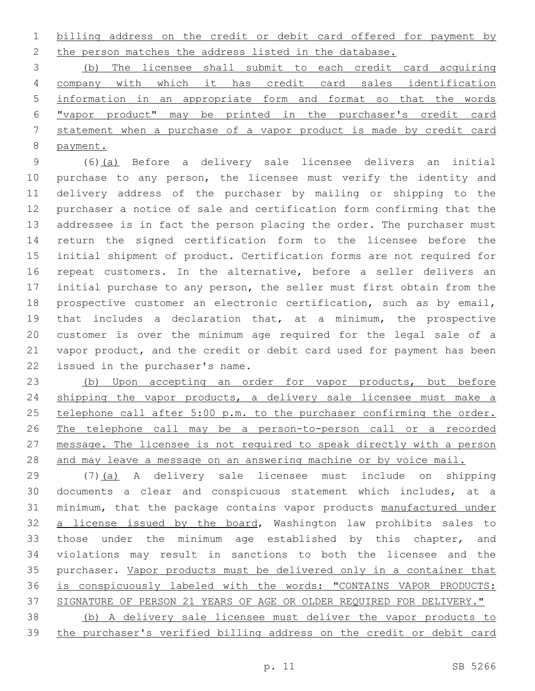billing address on the credit or debit card offered for payment by 2 the person matches the address listed in the database.

 (b) The licensee shall submit to each credit card acquiring company with which it has credit card sales identification information in an appropriate form and format so that the words "vapor product" may be printed in the purchaser's credit card statement when a purchase of a vapor product is made by credit card payment.

 (6)(a) Before a delivery sale licensee delivers an initial 10 purchase to any person, the licensee must verify the identity and delivery address of the purchaser by mailing or shipping to the purchaser a notice of sale and certification form confirming that the 13 addressee is in fact the person placing the order. The purchaser must return the signed certification form to the licensee before the initial shipment of product. Certification forms are not required for repeat customers. In the alternative, before a seller delivers an initial purchase to any person, the seller must first obtain from the prospective customer an electronic certification, such as by email, that includes a declaration that, at a minimum, the prospective customer is over the minimum age required for the legal sale of a vapor product, and the credit or debit card used for payment has been 22 issued in the purchaser's name.

23 (b) Upon accepting an order for vapor products, but before 24 shipping the vapor products, a delivery sale licensee must make a 25 telephone call after 5:00 p.m. to the purchaser confirming the order. The telephone call may be a person-to-person call or a recorded message. The licensee is not required to speak directly with a person and may leave a message on an answering machine or by voice mail.

 (7)(a) A delivery sale licensee must include on shipping documents a clear and conspicuous statement which includes, at a minimum, that the package contains vapor products manufactured under 32 a license issued by the board, Washington law prohibits sales to those under the minimum age established by this chapter, and violations may result in sanctions to both the licensee and the purchaser. Vapor products must be delivered only in a container that is conspicuously labeled with the words: "CONTAINS VAPOR PRODUCTS: SIGNATURE OF PERSON 21 YEARS OF AGE OR OLDER REQUIRED FOR DELIVERY."

 (b) A delivery sale licensee must deliver the vapor products to the purchaser's verified billing address on the credit or debit card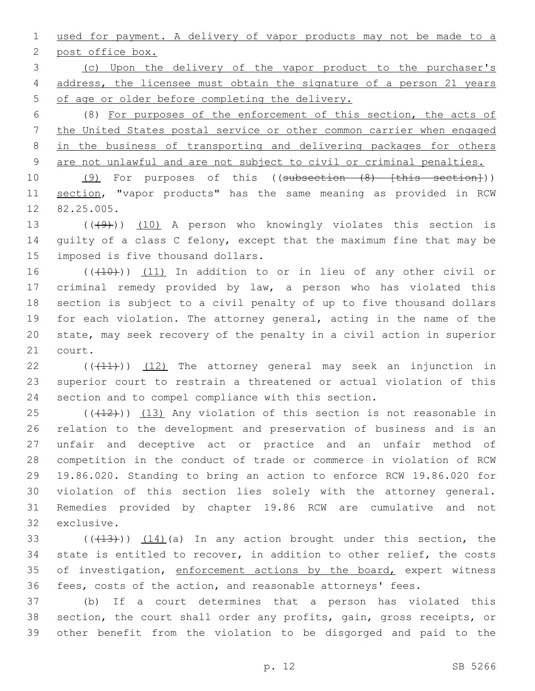used for payment. A delivery of vapor products may not be made to a 2 post office box.

 (c) Upon the delivery of the vapor product to the purchaser's address, the licensee must obtain the signature of a person 21 years of age or older before completing the delivery.

 (8) For purposes of the enforcement of this section, the acts of the United States postal service or other common carrier when engaged in the business of transporting and delivering packages for others 9 are not unlawful and are not subject to civil or criminal penalties.

10 (9) For purposes of this ((subsection (8) [this section])) 11 section, "vapor products" has the same meaning as provided in RCW 12 82.25.005.

13  $((+9+))$   $(10)$  A person who knowingly violates this section is guilty of a class C felony, except that the maximum fine that may be 15 imposed is five thousand dollars.

16 (((10))) (11) In addition to or in lieu of any other civil or criminal remedy provided by law, a person who has violated this section is subject to a civil penalty of up to five thousand dollars for each violation. The attorney general, acting in the name of the state, may seek recovery of the penalty in a civil action in superior 21 court.

22  $((+11))$  (12) The attorney general may seek an injunction in superior court to restrain a threatened or actual violation of this section and to compel compliance with this section.

 ( $(\overline{+12})$ )  $(13)$  Any violation of this section is not reasonable in relation to the development and preservation of business and is an unfair and deceptive act or practice and an unfair method of competition in the conduct of trade or commerce in violation of RCW 19.86.020. Standing to bring an action to enforce RCW 19.86.020 for violation of this section lies solely with the attorney general. Remedies provided by chapter 19.86 RCW are cumulative and not 32 exclusive.

 $((+13))$   $(14)$  (a) In any action brought under this section, the state is entitled to recover, in addition to other relief, the costs 35 of investigation, enforcement actions by the board, expert witness fees, costs of the action, and reasonable attorneys' fees.

 (b) If a court determines that a person has violated this section, the court shall order any profits, gain, gross receipts, or other benefit from the violation to be disgorged and paid to the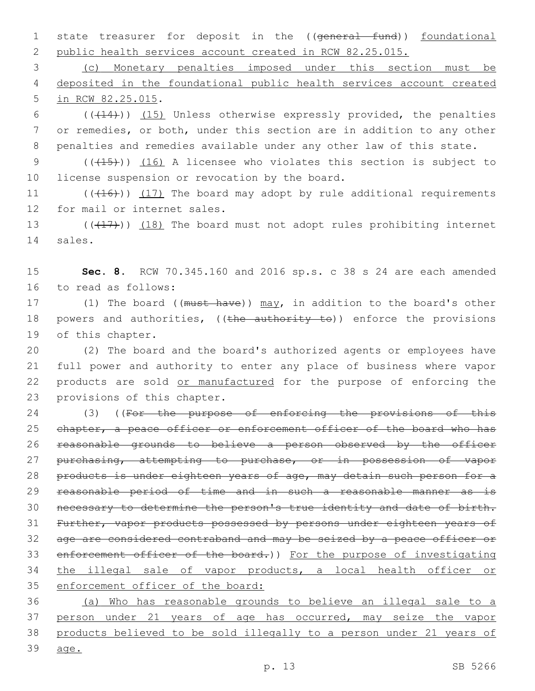1 state treasurer for deposit in the ((general fund)) foundational 2 public health services account created in RCW 82.25.015.

3 (c) Monetary penalties imposed under this section must be 4 deposited in the foundational public health services account created 5 in RCW 82.25.015.

6  $((+14))$   $(15)$  Unless otherwise expressly provided, the penalties 7 or remedies, or both, under this section are in addition to any other 8 penalties and remedies available under any other law of this state.

9 (( $(15)$ )) (16) A licensee who violates this section is subject to 10 license suspension or revocation by the board.

11 (((416))) (17) The board may adopt by rule additional requirements 12 for mail or internet sales.

13 (( $(17)$ )) (18) The board must not adopt rules prohibiting internet 14 sales.

15 **Sec. 8.** RCW 70.345.160 and 2016 sp.s. c 38 s 24 are each amended 16 to read as follows:

17 (1) The board ((must have)) may, in addition to the board's other 18 powers and authorities, ((the authority to)) enforce the provisions 19 of this chapter.

20 (2) The board and the board's authorized agents or employees have 21 full power and authority to enter any place of business where vapor 22 products are sold or manufactured for the purpose of enforcing the 23 provisions of this chapter.

24 (3) ((For the purpose of enforcing the provisions of this 25 chapter, a peace officer or enforcement officer of the board who has 26 reasonable grounds to believe a person observed by the officer 27 purchasing, attempting to purchase, or in possession of vapor 28 products is under eighteen years of age, may detain such person for a 29 reasonable period of time and in such a reasonable manner as is 30 necessary to determine the person's true identity and date of birth. 31 Further, vapor products possessed by persons under eighteen years of 32 age are considered contraband and may be seized by a peace officer or 33 enforcement officer of the board.)) For the purpose of investigating 34 the illegal sale of vapor products, a local health officer or 35 enforcement officer of the board:

36 (a) Who has reasonable grounds to believe an illegal sale to a 37 person under 21 years of age has occurred, may seize the vapor 38 products believed to be sold illegally to a person under 21 years of

39 age.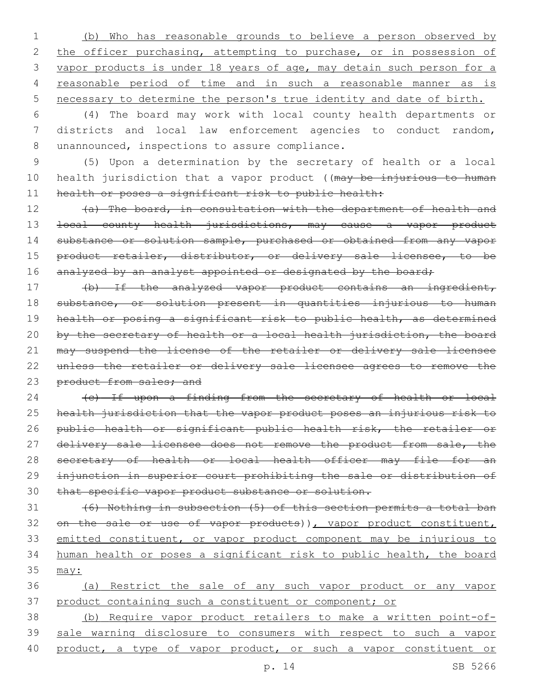(b) Who has reasonable grounds to believe a person observed by 2 the officer purchasing, attempting to purchase, or in possession of vapor products is under 18 years of age, may detain such person for a reasonable period of time and in such a reasonable manner as is necessary to determine the person's true identity and date of birth.

6 (4) The board may work with local county health departments or 7 districts and local law enforcement agencies to conduct random, 8 unannounced, inspections to assure compliance.

9 (5) Upon a determination by the secretary of health or a local 10 health jurisdiction that a vapor product ((may be injurious to human 11 health or poses a significant risk to public health:

12 (a) The board, in consultation with the department of health and 13 <del>local county health jurisdictions, may cause a vapor product</del> 14 substance or solution sample, purchased or obtained from any vapor 15 product retailer, distributor, or delivery sale licensee, to be 16 analyzed by an analyst appointed or designated by the board;

17 (b) If the analyzed vapor product contains an ingredient, 18 substance, or solution present in quantities injurious to human 19 health or posing a significant risk to public health, as determined 20 by the secretary of health or a local health jurisdiction, the board 21 may suspend the license of the retailer or delivery sale licensee 22 unless the retailer or delivery sale licensee agrees to remove the 23 product from sales; and

24 (c) If upon a finding from the secretary of health or local 25 health jurisdiction that the vapor product poses an injurious risk to 26 public health or significant public health risk, the retailer or 27 delivery sale licensee does not remove the product from sale, the 28 secretary of health or local health officer may file for an 29 injunction in superior court prohibiting the sale or distribution of 30 that specific vapor product substance or solution.

31 (6) Nothing in subsection (5) of this section permits a total ban 32 on the sale or use of vapor products)), vapor product constituent, 33 emitted constituent, or vapor product component may be injurious to 34 human health or poses a significant risk to public health, the board 35 may:

36 (a) Restrict the sale of any such vapor product or any vapor 37 product containing such a constituent or component; or

38 (b) Require vapor product retailers to make a written point-of-39 sale warning disclosure to consumers with respect to such a vapor 40 product, a type of vapor product, or such a vapor constituent or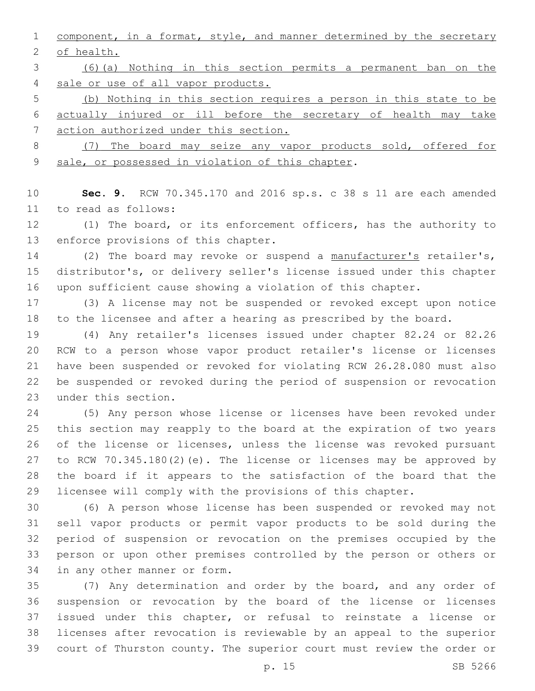component, in a format, style, and manner determined by the secretary 2 of health.

 (6)(a) Nothing in this section permits a permanent ban on the sale or use of all vapor products.

 (b) Nothing in this section requires a person in this state to be actually injured or ill before the secretary of health may take action authorized under this section.

 (7) The board may seize any vapor products sold, offered for 9 sale, or possessed in violation of this chapter.

 **Sec. 9.** RCW 70.345.170 and 2016 sp.s. c 38 s 11 are each amended 11 to read as follows:

 (1) The board, or its enforcement officers, has the authority to 13 enforce provisions of this chapter.

14 (2) The board may revoke or suspend a manufacturer's retailer's, distributor's, or delivery seller's license issued under this chapter upon sufficient cause showing a violation of this chapter.

 (3) A license may not be suspended or revoked except upon notice to the licensee and after a hearing as prescribed by the board.

 (4) Any retailer's licenses issued under chapter 82.24 or 82.26 RCW to a person whose vapor product retailer's license or licenses have been suspended or revoked for violating RCW 26.28.080 must also be suspended or revoked during the period of suspension or revocation 23 under this section.

 (5) Any person whose license or licenses have been revoked under this section may reapply to the board at the expiration of two years of the license or licenses, unless the license was revoked pursuant to RCW 70.345.180(2)(e). The license or licenses may be approved by the board if it appears to the satisfaction of the board that the licensee will comply with the provisions of this chapter.

 (6) A person whose license has been suspended or revoked may not sell vapor products or permit vapor products to be sold during the period of suspension or revocation on the premises occupied by the person or upon other premises controlled by the person or others or 34 in any other manner or form.

 (7) Any determination and order by the board, and any order of suspension or revocation by the board of the license or licenses issued under this chapter, or refusal to reinstate a license or licenses after revocation is reviewable by an appeal to the superior court of Thurston county. The superior court must review the order or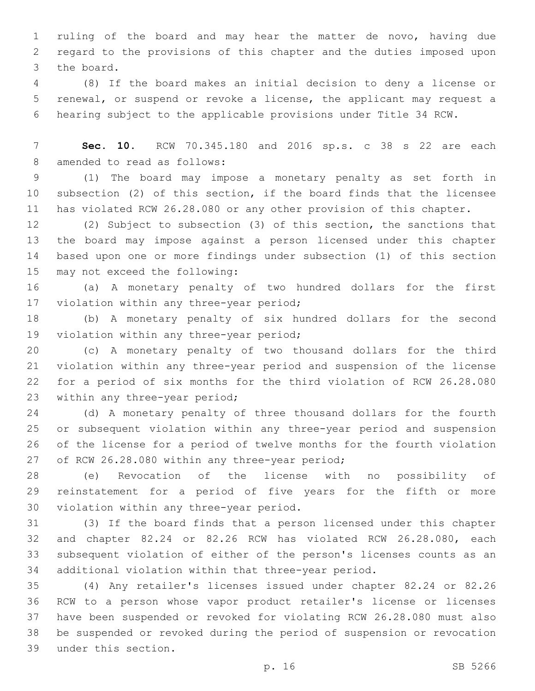ruling of the board and may hear the matter de novo, having due regard to the provisions of this chapter and the duties imposed upon 3 the board.

 (8) If the board makes an initial decision to deny a license or renewal, or suspend or revoke a license, the applicant may request a hearing subject to the applicable provisions under Title 34 RCW.

 **Sec. 10.** RCW 70.345.180 and 2016 sp.s. c 38 s 22 are each 8 amended to read as follows:

 (1) The board may impose a monetary penalty as set forth in subsection (2) of this section, if the board finds that the licensee has violated RCW 26.28.080 or any other provision of this chapter.

 (2) Subject to subsection (3) of this section, the sanctions that the board may impose against a person licensed under this chapter based upon one or more findings under subsection (1) of this section 15 may not exceed the following:

 (a) A monetary penalty of two hundred dollars for the first 17 violation within any three-year period;

 (b) A monetary penalty of six hundred dollars for the second 19 violation within any three-year period;

 (c) A monetary penalty of two thousand dollars for the third violation within any three-year period and suspension of the license for a period of six months for the third violation of RCW 26.28.080 23 within any three-year period;

 (d) A monetary penalty of three thousand dollars for the fourth or subsequent violation within any three-year period and suspension of the license for a period of twelve months for the fourth violation 27 of RCW 26.28.080 within any three-year period;

 (e) Revocation of the license with no possibility of reinstatement for a period of five years for the fifth or more 30 violation within any three-year period.

 (3) If the board finds that a person licensed under this chapter and chapter 82.24 or 82.26 RCW has violated RCW 26.28.080, each subsequent violation of either of the person's licenses counts as an additional violation within that three-year period.

 (4) Any retailer's licenses issued under chapter 82.24 or 82.26 RCW to a person whose vapor product retailer's license or licenses have been suspended or revoked for violating RCW 26.28.080 must also be suspended or revoked during the period of suspension or revocation under this section.39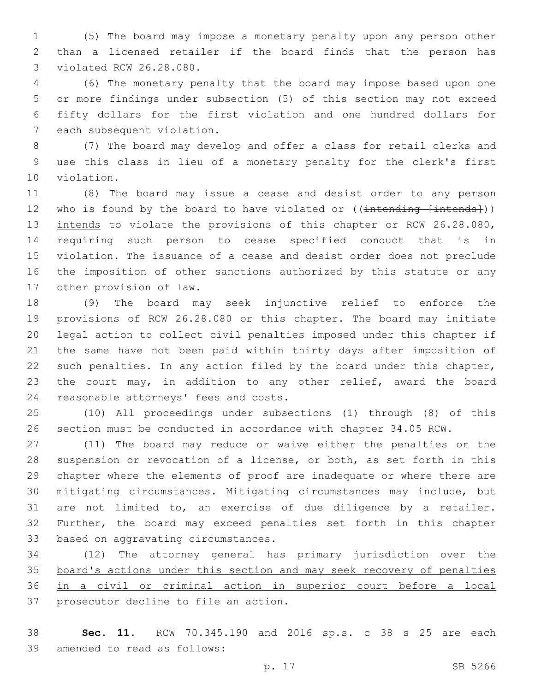(5) The board may impose a monetary penalty upon any person other than a licensed retailer if the board finds that the person has 3 violated RCW 26.28.080.

 (6) The monetary penalty that the board may impose based upon one or more findings under subsection (5) of this section may not exceed fifty dollars for the first violation and one hundred dollars for 7 each subsequent violation.

 (7) The board may develop and offer a class for retail clerks and use this class in lieu of a monetary penalty for the clerk's first 10 violation.

 (8) The board may issue a cease and desist order to any person 12 who is found by the board to have violated or ((intending [intends])) 13 intends to violate the provisions of this chapter or RCW 26.28.080, requiring such person to cease specified conduct that is in violation. The issuance of a cease and desist order does not preclude the imposition of other sanctions authorized by this statute or any 17 other provision of law.

 (9) The board may seek injunctive relief to enforce the provisions of RCW 26.28.080 or this chapter. The board may initiate legal action to collect civil penalties imposed under this chapter if the same have not been paid within thirty days after imposition of such penalties. In any action filed by the board under this chapter, the court may, in addition to any other relief, award the board 24 reasonable attorneys' fees and costs.

 (10) All proceedings under subsections (1) through (8) of this section must be conducted in accordance with chapter 34.05 RCW.

 (11) The board may reduce or waive either the penalties or the suspension or revocation of a license, or both, as set forth in this chapter where the elements of proof are inadequate or where there are mitigating circumstances. Mitigating circumstances may include, but are not limited to, an exercise of due diligence by a retailer. Further, the board may exceed penalties set forth in this chapter 33 based on aggravating circumstances.

 (12) The attorney general has primary jurisdiction over the board's actions under this section and may seek recovery of penalties in a civil or criminal action in superior court before a local prosecutor decline to file an action.

 **Sec. 11.** RCW 70.345.190 and 2016 sp.s. c 38 s 25 are each 39 amended to read as follows: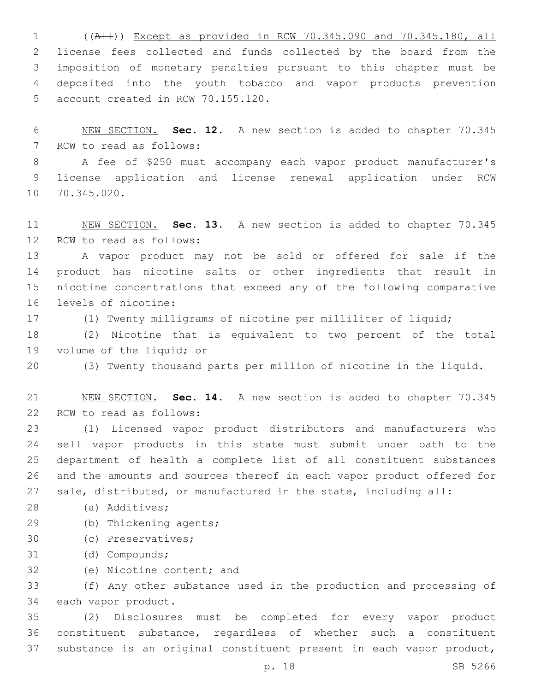((All)) Except as provided in RCW 70.345.090 and 70.345.180, all license fees collected and funds collected by the board from the imposition of monetary penalties pursuant to this chapter must be deposited into the youth tobacco and vapor products prevention 5 account created in RCW 70.155.120.

 NEW SECTION. **Sec. 12.** A new section is added to chapter 70.345 7 RCW to read as follows:

 A fee of \$250 must accompany each vapor product manufacturer's license application and license renewal application under RCW 10 70.345.020.

 NEW SECTION. **Sec. 13.** A new section is added to chapter 70.345 12 RCW to read as follows:

 A vapor product may not be sold or offered for sale if the product has nicotine salts or other ingredients that result in nicotine concentrations that exceed any of the following comparative 16 levels of nicotine:

(1) Twenty milligrams of nicotine per milliliter of liquid;

 (2) Nicotine that is equivalent to two percent of the total 19 volume of the liquid; or

(3) Twenty thousand parts per million of nicotine in the liquid.

 NEW SECTION. **Sec. 14.** A new section is added to chapter 70.345 22 RCW to read as follows:

 (1) Licensed vapor product distributors and manufacturers who sell vapor products in this state must submit under oath to the department of health a complete list of all constituent substances and the amounts and sources thereof in each vapor product offered for sale, distributed, or manufactured in the state, including all:

(a) Additives;28

- 29 (b) Thickening agents;
- (c) Preservatives;30
- 31 (d) Compounds;
- 32 (e) Nicotine content; and

 (f) Any other substance used in the production and processing of 34 each vapor product.

 (2) Disclosures must be completed for every vapor product constituent substance, regardless of whether such a constituent substance is an original constituent present in each vapor product,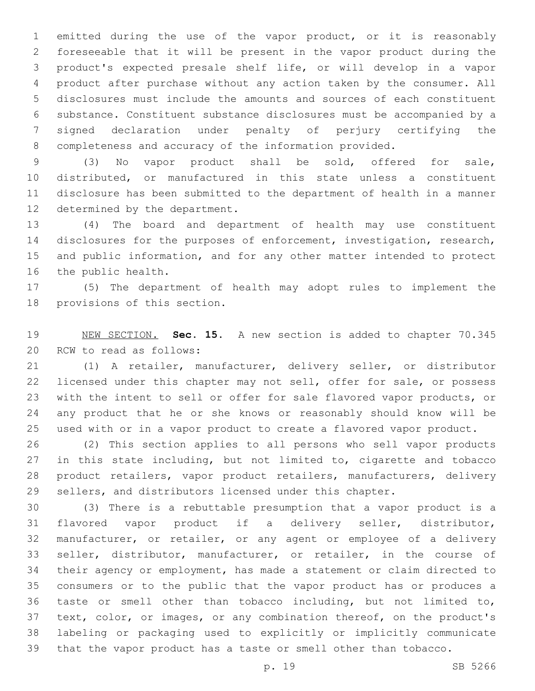emitted during the use of the vapor product, or it is reasonably foreseeable that it will be present in the vapor product during the product's expected presale shelf life, or will develop in a vapor product after purchase without any action taken by the consumer. All disclosures must include the amounts and sources of each constituent substance. Constituent substance disclosures must be accompanied by a signed declaration under penalty of perjury certifying the completeness and accuracy of the information provided.

 (3) No vapor product shall be sold, offered for sale, distributed, or manufactured in this state unless a constituent disclosure has been submitted to the department of health in a manner 12 determined by the department.

 (4) The board and department of health may use constituent disclosures for the purposes of enforcement, investigation, research, and public information, and for any other matter intended to protect 16 the public health.

 (5) The department of health may adopt rules to implement the 18 provisions of this section.

 NEW SECTION. **Sec. 15.** A new section is added to chapter 70.345 20 RCW to read as follows:

 (1) A retailer, manufacturer, delivery seller, or distributor licensed under this chapter may not sell, offer for sale, or possess with the intent to sell or offer for sale flavored vapor products, or any product that he or she knows or reasonably should know will be used with or in a vapor product to create a flavored vapor product.

 (2) This section applies to all persons who sell vapor products 27 in this state including, but not limited to, cigarette and tobacco product retailers, vapor product retailers, manufacturers, delivery sellers, and distributors licensed under this chapter.

 (3) There is a rebuttable presumption that a vapor product is a flavored vapor product if a delivery seller, distributor, manufacturer, or retailer, or any agent or employee of a delivery seller, distributor, manufacturer, or retailer, in the course of their agency or employment, has made a statement or claim directed to consumers or to the public that the vapor product has or produces a taste or smell other than tobacco including, but not limited to, text, color, or images, or any combination thereof, on the product's labeling or packaging used to explicitly or implicitly communicate that the vapor product has a taste or smell other than tobacco.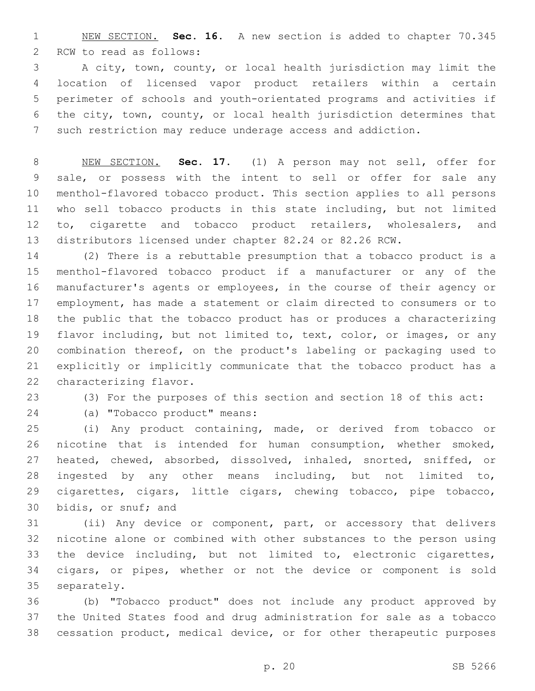NEW SECTION. **Sec. 16.** A new section is added to chapter 70.345 2 RCW to read as follows:

 A city, town, county, or local health jurisdiction may limit the location of licensed vapor product retailers within a certain perimeter of schools and youth-orientated programs and activities if the city, town, county, or local health jurisdiction determines that such restriction may reduce underage access and addiction.

 NEW SECTION. **Sec. 17.** (1) A person may not sell, offer for sale, or possess with the intent to sell or offer for sale any menthol-flavored tobacco product. This section applies to all persons who sell tobacco products in this state including, but not limited 12 to, cigarette and tobacco product retailers, wholesalers, and distributors licensed under chapter 82.24 or 82.26 RCW.

 (2) There is a rebuttable presumption that a tobacco product is a menthol-flavored tobacco product if a manufacturer or any of the manufacturer's agents or employees, in the course of their agency or employment, has made a statement or claim directed to consumers or to the public that the tobacco product has or produces a characterizing flavor including, but not limited to, text, color, or images, or any combination thereof, on the product's labeling or packaging used to explicitly or implicitly communicate that the tobacco product has a 22 characterizing flavor.

(3) For the purposes of this section and section 18 of this act:

24 (a) "Tobacco product" means:

 (i) Any product containing, made, or derived from tobacco or nicotine that is intended for human consumption, whether smoked, heated, chewed, absorbed, dissolved, inhaled, snorted, sniffed, or ingested by any other means including, but not limited to, cigarettes, cigars, little cigars, chewing tobacco, pipe tobacco, 30 bidis, or snuf; and

 (ii) Any device or component, part, or accessory that delivers nicotine alone or combined with other substances to the person using the device including, but not limited to, electronic cigarettes, cigars, or pipes, whether or not the device or component is sold 35 separately.

 (b) "Tobacco product" does not include any product approved by the United States food and drug administration for sale as a tobacco cessation product, medical device, or for other therapeutic purposes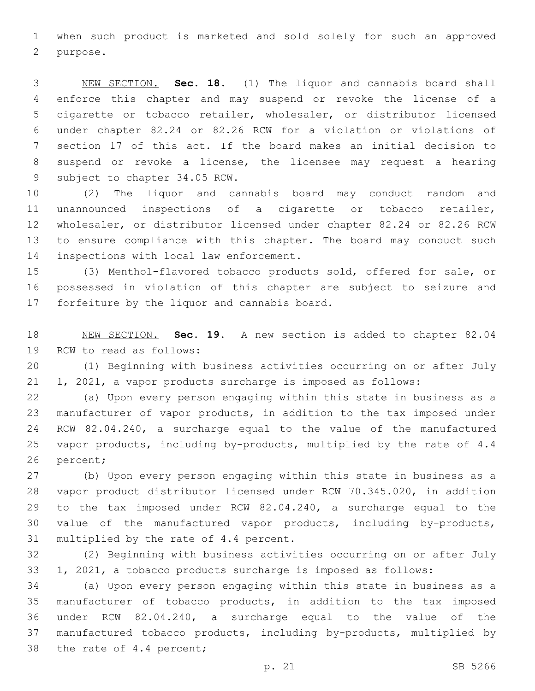when such product is marketed and sold solely for such an approved 2 purpose.

 NEW SECTION. **Sec. 18.** (1) The liquor and cannabis board shall enforce this chapter and may suspend or revoke the license of a cigarette or tobacco retailer, wholesaler, or distributor licensed under chapter 82.24 or 82.26 RCW for a violation or violations of section 17 of this act. If the board makes an initial decision to suspend or revoke a license, the licensee may request a hearing subject to chapter 34.05 RCW.

 (2) The liquor and cannabis board may conduct random and unannounced inspections of a cigarette or tobacco retailer, wholesaler, or distributor licensed under chapter 82.24 or 82.26 RCW to ensure compliance with this chapter. The board may conduct such 14 inspections with local law enforcement.

 (3) Menthol-flavored tobacco products sold, offered for sale, or possessed in violation of this chapter are subject to seizure and 17 forfeiture by the liquor and cannabis board.

 NEW SECTION. **Sec. 19.** A new section is added to chapter 82.04 19 RCW to read as follows:

 (1) Beginning with business activities occurring on or after July 1, 2021, a vapor products surcharge is imposed as follows:

 (a) Upon every person engaging within this state in business as a manufacturer of vapor products, in addition to the tax imposed under RCW 82.04.240, a surcharge equal to the value of the manufactured vapor products, including by-products, multiplied by the rate of 4.4 26 percent;

 (b) Upon every person engaging within this state in business as a vapor product distributor licensed under RCW 70.345.020, in addition to the tax imposed under RCW 82.04.240, a surcharge equal to the value of the manufactured vapor products, including by-products, 31 multiplied by the rate of 4.4 percent.

 (2) Beginning with business activities occurring on or after July 1, 2021, a tobacco products surcharge is imposed as follows:

 (a) Upon every person engaging within this state in business as a manufacturer of tobacco products, in addition to the tax imposed under RCW 82.04.240, a surcharge equal to the value of the manufactured tobacco products, including by-products, multiplied by 38 the rate of 4.4 percent;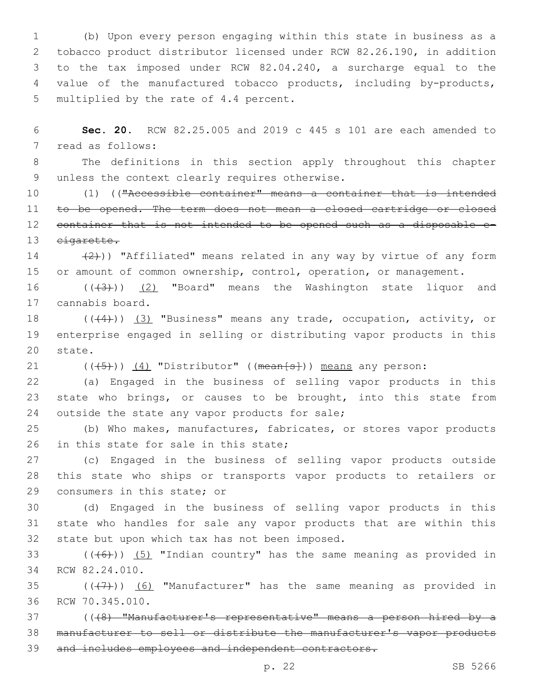(b) Upon every person engaging within this state in business as a tobacco product distributor licensed under RCW 82.26.190, in addition to the tax imposed under RCW 82.04.240, a surcharge equal to the value of the manufactured tobacco products, including by-products, 5 multiplied by the rate of 4.4 percent.

6 **Sec. 20.** RCW 82.25.005 and 2019 c 445 s 101 are each amended to 7 read as follows:

8 The definitions in this section apply throughout this chapter 9 unless the context clearly requires otherwise.

10 (1) (("Accessible container" means a container that is intended 11 to be opened. The term does not mean a closed cartridge or closed 12 container that is not intended to be opened such as a disposable e-13 cigarette.

14  $(2)$ )) "Affiliated" means related in any way by virtue of any form 15 or amount of common ownership, control, operation, or management.

16 (((3)) (2) "Board" means the Washington state liquor and 17 cannabis board.

18 (((4))) (3) "Business" means any trade, occupation, activity, or 19 enterprise engaged in selling or distributing vapor products in this 20 state.

21  $((+5+))$   $(4)$  "Distributor" ((mean $[5+])$ ) means any person:

22 (a) Engaged in the business of selling vapor products in this 23 state who brings, or causes to be brought, into this state from 24 outside the state any vapor products for sale;

25 (b) Who makes, manufactures, fabricates, or stores vapor products 26 in this state for sale in this state;

27 (c) Engaged in the business of selling vapor products outside 28 this state who ships or transports vapor products to retailers or 29 consumers in this state; or

30 (d) Engaged in the business of selling vapor products in this 31 state who handles for sale any vapor products that are within this 32 state but upon which tax has not been imposed.

33  $((+6))$   $(5)$  "Indian country" has the same meaning as provided in 34 RCW 82.24.010.

35  $((+7+))$  (6) "Manufacturer" has the same meaning as provided in 36 RCW 70.345.010.

37 (((8) "Manufacturer's representative" means a person hired by a 38 manufacturer to sell or distribute the manufacturer's vapor products 39 and includes employees and independent contractors.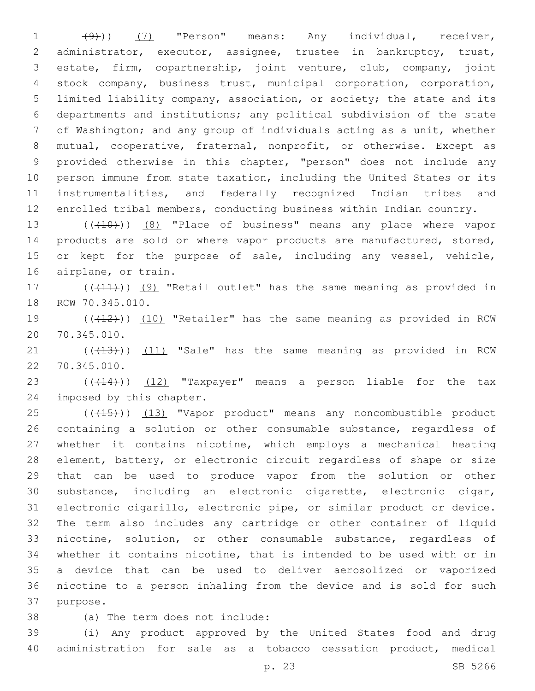1 (9)) (7) "Person" means: Any individual, receiver, administrator, executor, assignee, trustee in bankruptcy, trust, estate, firm, copartnership, joint venture, club, company, joint stock company, business trust, municipal corporation, corporation, limited liability company, association, or society; the state and its departments and institutions; any political subdivision of the state of Washington; and any group of individuals acting as a unit, whether mutual, cooperative, fraternal, nonprofit, or otherwise. Except as provided otherwise in this chapter, "person" does not include any person immune from state taxation, including the United States or its instrumentalities, and federally recognized Indian tribes and enrolled tribal members, conducting business within Indian country.

13 (( $(410)$ ) (8) "Place of business" means any place where vapor products are sold or where vapor products are manufactured, stored, 15 or kept for the purpose of sale, including any vessel, vehicle, 16 airplane, or train.

17 (((11))) (9) "Retail outlet" has the same meaning as provided in 18 RCW 70.345.010.

19 (((12))) (10) "Retailer" has the same meaning as provided in RCW 70.345.010.20

21 (((413))) (11) "Sale" has the same meaning as provided in RCW 70.345.010.22

23 (((14))) (12) "Taxpayer" means a person liable for the tax 24 imposed by this chapter.

25 (((415))) (13) "Vapor product" means any noncombustible product containing a solution or other consumable substance, regardless of whether it contains nicotine, which employs a mechanical heating element, battery, or electronic circuit regardless of shape or size that can be used to produce vapor from the solution or other substance, including an electronic cigarette, electronic cigar, electronic cigarillo, electronic pipe, or similar product or device. The term also includes any cartridge or other container of liquid nicotine, solution, or other consumable substance, regardless of whether it contains nicotine, that is intended to be used with or in a device that can be used to deliver aerosolized or vaporized nicotine to a person inhaling from the device and is sold for such 37 purpose.

38 (a) The term does not include:

 (i) Any product approved by the United States food and drug administration for sale as a tobacco cessation product, medical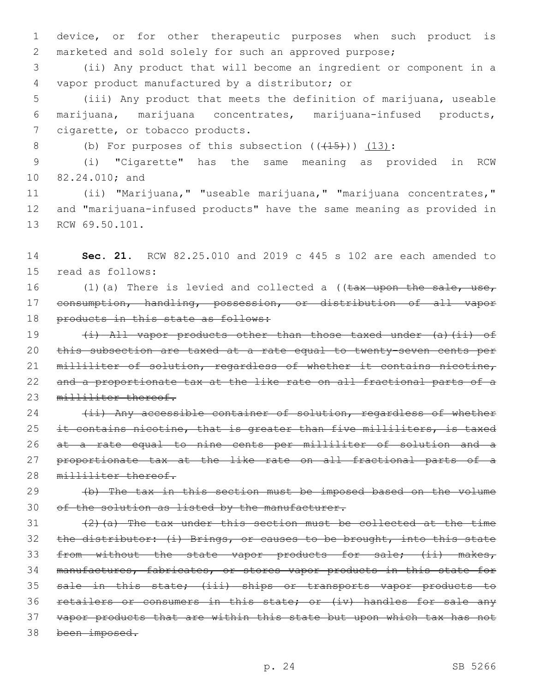1 device, or for other therapeutic purposes when such product is 2 marketed and sold solely for such an approved purpose;

3 (ii) Any product that will become an ingredient or component in a vapor product manufactured by a distributor; or4

5 (iii) Any product that meets the definition of marijuana, useable 6 marijuana, marijuana concentrates, marijuana-infused products, 7 cigarette, or tobacco products.

8 (b) For purposes of this subsection  $((+15))$   $(13)$ :

9 (i) "Cigarette" has the same meaning as provided in RCW 10 82.24.010; and

11 (ii) "Marijuana," "useable marijuana," "marijuana concentrates," 12 and "marijuana-infused products" have the same meaning as provided in 13 RCW 69.50.101.

14 **Sec. 21.** RCW 82.25.010 and 2019 c 445 s 102 are each amended to 15 read as follows:

16 (1)(a) There is levied and collected a ((tax upon the sale, use, 17 consumption, handling, possession, or distribution of all vapor 18 products in this state as follows:

19 (i) All vapor products other than those taxed under (a)(ii) of 20 this subsection are taxed at a rate equal to twenty-seven cents per 21 milliliter of solution, regardless of whether it contains nicotine, 22 and a proportionate tax at the like rate on all fractional parts of a 23 milliliter thereof.

24 (ii) Any accessible container of solution, regardless of whether 25 it contains nicotine, that is greater than five milliliters, is taxed 26 at a rate equal to nine cents per milliliter of solution and a 27 proportionate tax at the like rate on all fractional parts of a 28 milliliter thereof.

## 29 (b) The tax in this section must be imposed based on the volume 30 of the solution as listed by the manufacturer.

 $(2)$  (a) The tax under this section must be collected at the time 32 the distributor: (i) Brings, or causes to be brought, into this state 33 from without the state vapor products for sale; (ii) makes, 34 manufactures, fabricates, or stores vapor products in this state for 35 sale in this state; (iii) ships or transports vapor products to 36 retailers or consumers in this state; or (iv) handles for sale any 37 vapor products that are within this state but upon which tax has not 38 been imposed.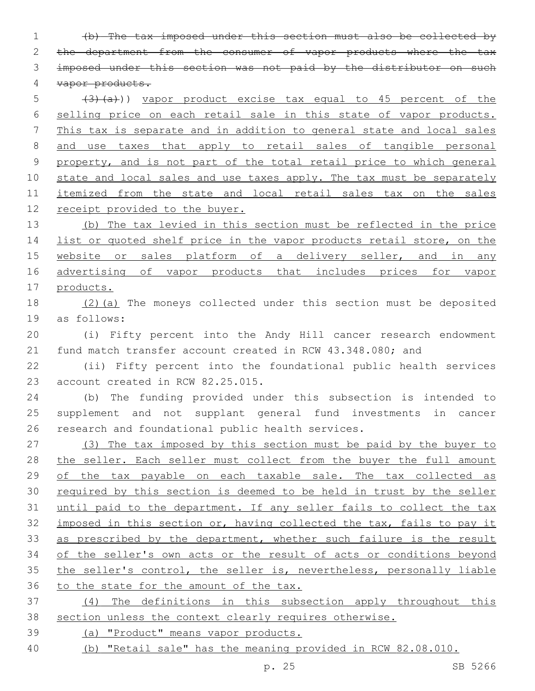(b) The tax imposed under this section must also be collected by 2 the department from the consumer of vapor products where the tax imposed under this section was not paid by the distributor on such vapor products. 5 (3)(a)) vapor product excise tax equal to 45 percent of the selling price on each retail sale in this state of vapor products. This tax is separate and in addition to general state and local sales and use taxes that apply to retail sales of tangible personal property, and is not part of the total retail price to which general 10 state and local sales and use taxes apply. The tax must be separately 11 <u>itemized from the state and local retail sales tax on t</u>he sales receipt provided to the buyer. (b) The tax levied in this section must be reflected in the price 14 list or quoted shelf price in the vapor products retail store, on the 15 website or sales platform of a delivery seller, and in any advertising of vapor products that includes prices for vapor products. 18 (2)(a) The moneys collected under this section must be deposited as follows:19 (i) Fifty percent into the Andy Hill cancer research endowment fund match transfer account created in RCW 43.348.080; and (ii) Fifty percent into the foundational public health services 23 account created in RCW 82.25.015. (b) The funding provided under this subsection is intended to supplement and not supplant general fund investments in cancer 26 research and foundational public health services. (3) The tax imposed by this section must be paid by the buyer to 28 the seller. Each seller must collect from the buyer the full amount of the tax payable on each taxable sale. The tax collected as required by this section is deemed to be held in trust by the seller until paid to the department. If any seller fails to collect the tax 32 imposed in this section or, having collected the tax, fails to pay it 33 as prescribed by the department, whether such failure is the result 34 of the seller's own acts or the result of acts or conditions beyond

36 to the state for the amount of the tax. (4) The definitions in this subsection apply throughout this

the seller's control, the seller is, nevertheless, personally liable

section unless the context clearly requires otherwise.

(a) "Product" means vapor products.

(b) "Retail sale" has the meaning provided in RCW 82.08.010.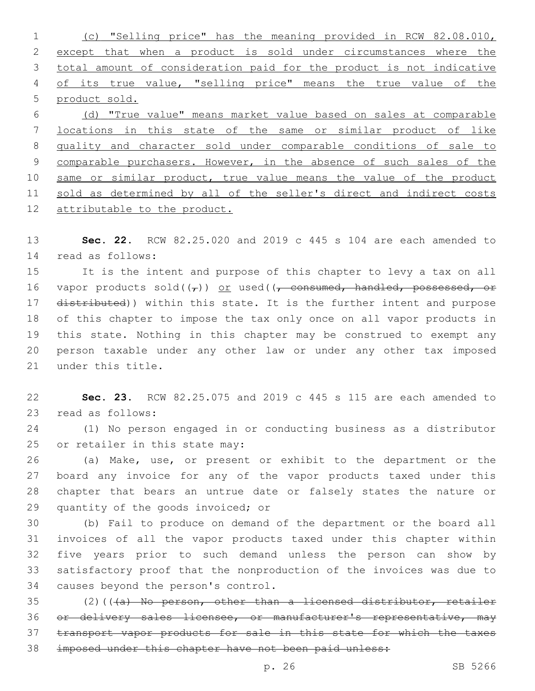(c) "Selling price" has the meaning provided in RCW 82.08.010, except that when a product is sold under circumstances where the total amount of consideration paid for the product is not indicative of its true value, "selling price" means the true value of the product sold. (d) "True value" means market value based on sales at comparable locations in this state of the same or similar product of like quality and character sold under comparable conditions of sale to 9 comparable purchasers. However, in the absence of such sales of the 10 same or similar product, true value means the value of the product

11 sold as determined by all of the seller's direct and indirect costs attributable to the product.

 **Sec. 22.** RCW 82.25.020 and 2019 c 445 s 104 are each amended to read as follows:14

 It is the intent and purpose of this chapter to levy a tax on all 16 vapor products sold( $(\tau)$ ) or used( $(\tau)$  consumed, handled, possessed, or 17 distributed)) within this state. It is the further intent and purpose of this chapter to impose the tax only once on all vapor products in this state. Nothing in this chapter may be construed to exempt any person taxable under any other law or under any other tax imposed 21 under this title.

 **Sec. 23.** RCW 82.25.075 and 2019 c 445 s 115 are each amended to 23 read as follows:

 (1) No person engaged in or conducting business as a distributor 25 or retailer in this state may:

 (a) Make, use, or present or exhibit to the department or the board any invoice for any of the vapor products taxed under this chapter that bears an untrue date or falsely states the nature or 29 quantity of the goods invoiced; or

 (b) Fail to produce on demand of the department or the board all invoices of all the vapor products taxed under this chapter within five years prior to such demand unless the person can show by satisfactory proof that the nonproduction of the invoices was due to 34 causes beyond the person's control.

 $(2)$  (( $\overline{(a)}$  No person, other than a licensed distributor, retailer 36 or delivery sales licensee, or manufacturer's representative, may transport vapor products for sale in this state for which the taxes imposed under this chapter have not been paid unless: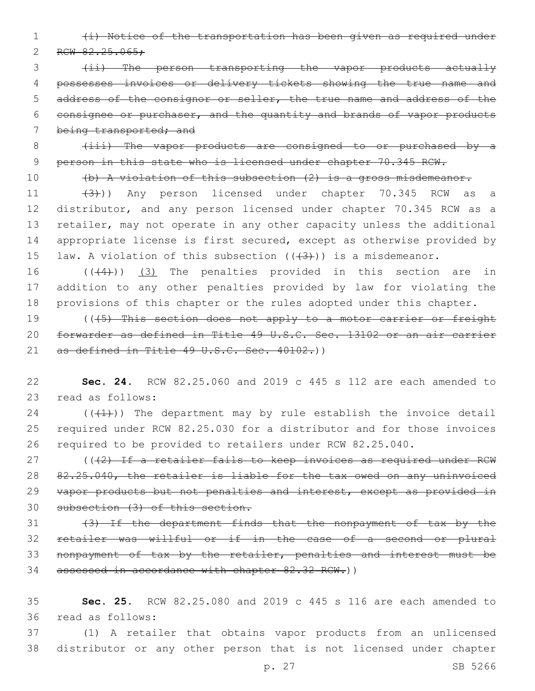1 (i) Notice of the transportation has been given as required under

2 RCW 82.25.065;

 (ii) The person transporting the vapor products actually possesses invoices or delivery tickets showing the true name and address of the consignor or seller, the true name and address of the consignee or purchaser, and the quantity and brands of vapor products 7 being transported; and

8 (iii) The vapor products are consigned to or purchased by a 9 person in this state who is licensed under chapter 70.345 RCW.

10 (b) A violation of this subsection (2) is a gross misdemeanor.

11 (3))) Any person licensed under chapter 70.345 RCW as a 12 distributor, and any person licensed under chapter 70.345 RCW as a 13 retailer, may not operate in any other capacity unless the additional 14 appropriate license is first secured, except as otherwise provided by 15 law. A violation of this subsection  $((+3))$  is a misdemeanor.

16  $((+4))$   $(3)$  The penalties provided in this section are in 17 addition to any other penalties provided by law for violating the 18 provisions of this chapter or the rules adopted under this chapter.

19 (((5) This section does not apply to a motor carrier or freight 20 forwarder as defined in Title 49 U.S.C. Sec. 13102 or an air carrier 21 as defined in Title 49 U.S.C. Sec. 40102.))

22 **Sec. 24.** RCW 82.25.060 and 2019 c 445 s 112 are each amended to 23 read as follows:

 $24$  (( $(41)$ )) The department may by rule establish the invoice detail 25 required under RCW 82.25.030 for a distributor and for those invoices 26 required to be provided to retailers under RCW 82.25.040.

27 (((2) If a retailer fails to keep invoices as required under RCW 28 82.25.040, the retailer is liable for the tax owed on any uninvoiced 29 vapor products but not penalties and interest, except as provided in 30 subsection (3) of this section.

 (3) If the department finds that the nonpayment of tax by the retailer was willful or if in the case of a second or plural nonpayment of tax by the retailer, penalties and interest must be 34 assessed in accordance with chapter 82.32 RCW.))

35 **Sec. 25.** RCW 82.25.080 and 2019 c 445 s 116 are each amended to 36 read as follows:

37 (1) A retailer that obtains vapor products from an unlicensed 38 distributor or any other person that is not licensed under chapter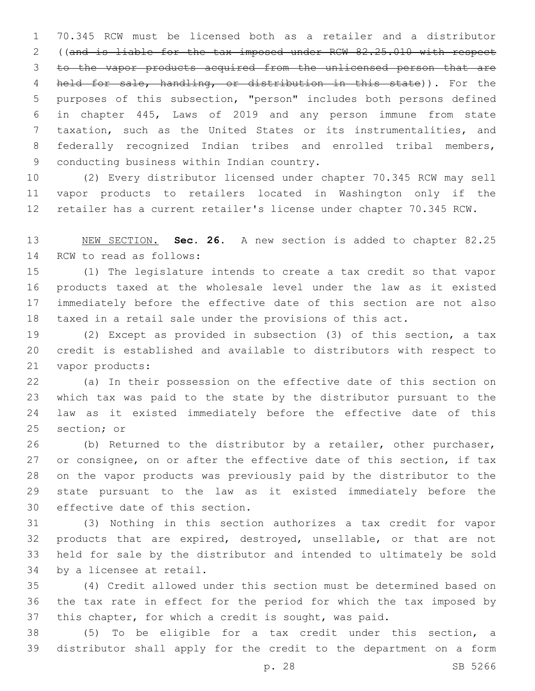70.345 RCW must be licensed both as a retailer and a distributor ((and is liable for the tax imposed under RCW 82.25.010 with respect to the vapor products acquired from the unlicensed person that are 4 held for sale, handling, or distribution in this state)). For the purposes of this subsection, "person" includes both persons defined in chapter 445, Laws of 2019 and any person immune from state taxation, such as the United States or its instrumentalities, and federally recognized Indian tribes and enrolled tribal members, 9 conducting business within Indian country.

 (2) Every distributor licensed under chapter 70.345 RCW may sell vapor products to retailers located in Washington only if the retailer has a current retailer's license under chapter 70.345 RCW.

 NEW SECTION. **Sec. 26.** A new section is added to chapter 82.25 14 RCW to read as follows:

 (1) The legislature intends to create a tax credit so that vapor products taxed at the wholesale level under the law as it existed immediately before the effective date of this section are not also taxed in a retail sale under the provisions of this act.

 (2) Except as provided in subsection (3) of this section, a tax credit is established and available to distributors with respect to 21 vapor products:

 (a) In their possession on the effective date of this section on which tax was paid to the state by the distributor pursuant to the law as it existed immediately before the effective date of this 25 section: or

 (b) Returned to the distributor by a retailer, other purchaser, 27 or consignee, on or after the effective date of this section, if tax on the vapor products was previously paid by the distributor to the state pursuant to the law as it existed immediately before the 30 effective date of this section.

 (3) Nothing in this section authorizes a tax credit for vapor products that are expired, destroyed, unsellable, or that are not held for sale by the distributor and intended to ultimately be sold 34 by a licensee at retail.

 (4) Credit allowed under this section must be determined based on the tax rate in effect for the period for which the tax imposed by this chapter, for which a credit is sought, was paid.

 (5) To be eligible for a tax credit under this section, a distributor shall apply for the credit to the department on a form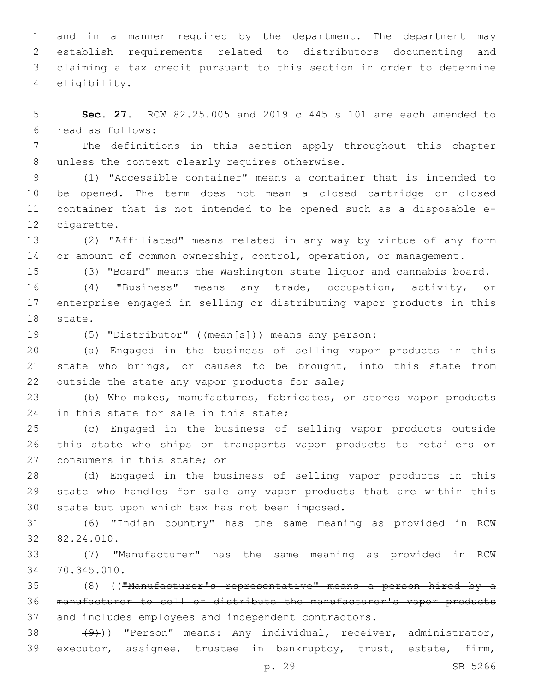and in a manner required by the department. The department may establish requirements related to distributors documenting and claiming a tax credit pursuant to this section in order to determine eligibility.4

5 **Sec. 27.** RCW 82.25.005 and 2019 c 445 s 101 are each amended to read as follows:6

7 The definitions in this section apply throughout this chapter 8 unless the context clearly requires otherwise.

 (1) "Accessible container" means a container that is intended to be opened. The term does not mean a closed cartridge or closed container that is not intended to be opened such as a disposable e-12 cigarette.

13 (2) "Affiliated" means related in any way by virtue of any form 14 or amount of common ownership, control, operation, or management.

15 (3) "Board" means the Washington state liquor and cannabis board.

16 (4) "Business" means any trade, occupation, activity, or 17 enterprise engaged in selling or distributing vapor products in this 18 state.

19 (5) "Distributor" ((mean[s])) means any person:

20 (a) Engaged in the business of selling vapor products in this 21 state who brings, or causes to be brought, into this state from 22 outside the state any vapor products for sale;

23 (b) Who makes, manufactures, fabricates, or stores vapor products 24 in this state for sale in this state;

25 (c) Engaged in the business of selling vapor products outside 26 this state who ships or transports vapor products to retailers or 27 consumers in this state; or

28 (d) Engaged in the business of selling vapor products in this 29 state who handles for sale any vapor products that are within this 30 state but upon which tax has not been imposed.

31 (6) "Indian country" has the same meaning as provided in RCW 82.24.010.32

33 (7) "Manufacturer" has the same meaning as provided in RCW 34 70.345.010.

35 (8) (("Manufacturer's representative" means a person hired by a 36 manufacturer to sell or distribute the manufacturer's vapor products 37 and includes employees and independent contractors.

38  $(9)$ )) "Person" means: Any individual, receiver, administrator, 39 executor, assignee, trustee in bankruptcy, trust, estate, firm,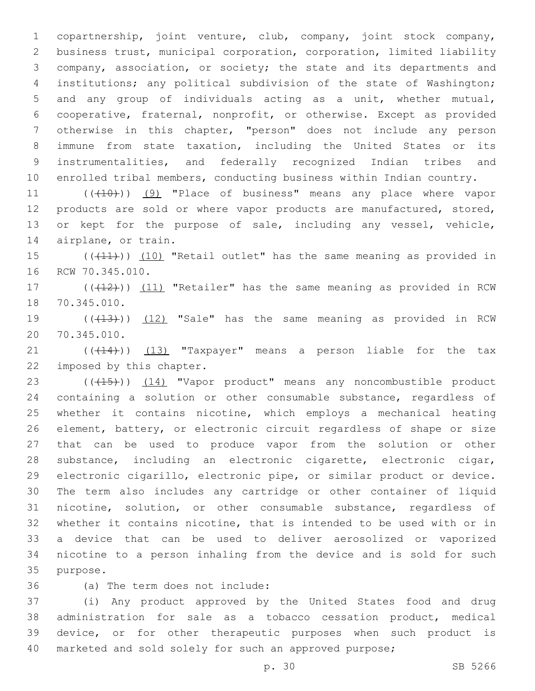copartnership, joint venture, club, company, joint stock company, business trust, municipal corporation, corporation, limited liability company, association, or society; the state and its departments and institutions; any political subdivision of the state of Washington; and any group of individuals acting as a unit, whether mutual, cooperative, fraternal, nonprofit, or otherwise. Except as provided otherwise in this chapter, "person" does not include any person immune from state taxation, including the United States or its instrumentalities, and federally recognized Indian tribes and enrolled tribal members, conducting business within Indian country.

11 (((10)) (9) "Place of business" means any place where vapor products are sold or where vapor products are manufactured, stored, or kept for the purpose of sale, including any vessel, vehicle, 14 airplane, or train.

15 (((41))) (10) "Retail outlet" has the same meaning as provided in 16 RCW 70.345.010.

17 (((12))) (11) "Retailer" has the same meaning as provided in RCW 18 70.345.010.

19 (((13))) (12) "Sale" has the same meaning as provided in RCW 70.345.010.20

 $((+14))$   $(13)$  "Taxpayer" means a person liable for the tax 22 imposed by this chapter.

23 (((415)) (14) "Vapor product" means any noncombustible product containing a solution or other consumable substance, regardless of whether it contains nicotine, which employs a mechanical heating element, battery, or electronic circuit regardless of shape or size that can be used to produce vapor from the solution or other substance, including an electronic cigarette, electronic cigar, electronic cigarillo, electronic pipe, or similar product or device. The term also includes any cartridge or other container of liquid nicotine, solution, or other consumable substance, regardless of whether it contains nicotine, that is intended to be used with or in a device that can be used to deliver aerosolized or vaporized nicotine to a person inhaling from the device and is sold for such 35 purpose.

36 (a) The term does not include:

 (i) Any product approved by the United States food and drug administration for sale as a tobacco cessation product, medical device, or for other therapeutic purposes when such product is marketed and sold solely for such an approved purpose;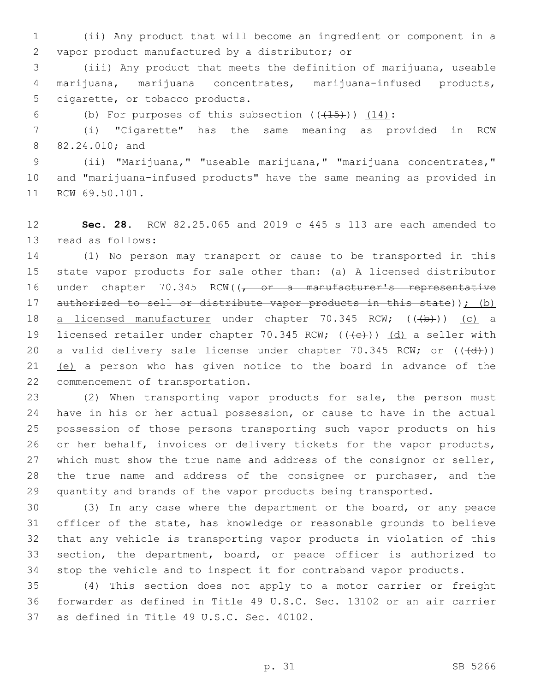1 (ii) Any product that will become an ingredient or component in a 2 vapor product manufactured by a distributor; or

3 (iii) Any product that meets the definition of marijuana, useable 4 marijuana, marijuana concentrates, marijuana-infused products, 5 cigarette, or tobacco products.

6 (b) For purposes of this subsection  $((+15))$   $(14)$ :

7 (i) "Cigarette" has the same meaning as provided in RCW 8 82.24.010; and

9 (ii) "Marijuana," "useable marijuana," "marijuana concentrates," 10 and "marijuana-infused products" have the same meaning as provided in 11 RCW 69.50.101.

12 **Sec. 28.** RCW 82.25.065 and 2019 c 445 s 113 are each amended to 13 read as follows:

14 (1) No person may transport or cause to be transported in this 15 state vapor products for sale other than: (a) A licensed distributor 16 under chapter 70.345 RCW((, or a manufacturer's representative 17 authorized to sell or distribute vapor products in this state)); (b) 18 a licensed manufacturer under chapter 70.345 RCW; ((+b+)) (c) a 19 licensed retailer under chapter 70.345 RCW;  $((+e))$  (d) a seller with 20 a valid delivery sale license under chapter 70.345 RCW; or  $((+d+))$ 21 (e) a person who has given notice to the board in advance of the 22 commencement of transportation.

 (2) When transporting vapor products for sale, the person must have in his or her actual possession, or cause to have in the actual possession of those persons transporting such vapor products on his or her behalf, invoices or delivery tickets for the vapor products, 27 which must show the true name and address of the consignor or seller, the true name and address of the consignee or purchaser, and the quantity and brands of the vapor products being transported.

 (3) In any case where the department or the board, or any peace officer of the state, has knowledge or reasonable grounds to believe that any vehicle is transporting vapor products in violation of this section, the department, board, or peace officer is authorized to stop the vehicle and to inspect it for contraband vapor products.

35 (4) This section does not apply to a motor carrier or freight 36 forwarder as defined in Title 49 U.S.C. Sec. 13102 or an air carrier 37 as defined in Title 49 U.S.C. Sec. 40102.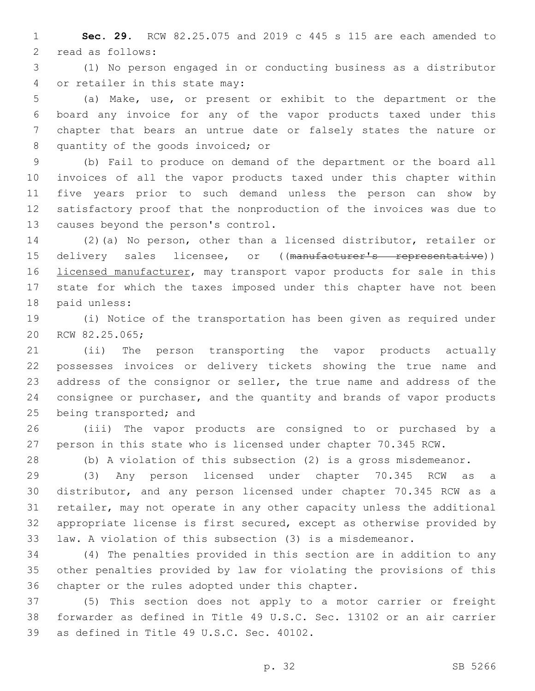**Sec. 29.** RCW 82.25.075 and 2019 c 445 s 115 are each amended to 2 read as follows:

 (1) No person engaged in or conducting business as a distributor 4 or retailer in this state may:

 (a) Make, use, or present or exhibit to the department or the board any invoice for any of the vapor products taxed under this chapter that bears an untrue date or falsely states the nature or 8 quantity of the goods invoiced; or

 (b) Fail to produce on demand of the department or the board all invoices of all the vapor products taxed under this chapter within five years prior to such demand unless the person can show by satisfactory proof that the nonproduction of the invoices was due to 13 causes beyond the person's control.

 (2)(a) No person, other than a licensed distributor, retailer or 15 delivery sales licensee, or ((manufacturer's representative)) **licensed manufacturer, may transport vapor products for sale in this**  state for which the taxes imposed under this chapter have not been 18 paid unless:

 (i) Notice of the transportation has been given as required under 20 RCW 82.25.065;

 (ii) The person transporting the vapor products actually possesses invoices or delivery tickets showing the true name and address of the consignor or seller, the true name and address of the consignee or purchaser, and the quantity and brands of vapor products 25 being transported; and

 (iii) The vapor products are consigned to or purchased by a person in this state who is licensed under chapter 70.345 RCW.

(b) A violation of this subsection (2) is a gross misdemeanor.

 (3) Any person licensed under chapter 70.345 RCW as a distributor, and any person licensed under chapter 70.345 RCW as a retailer, may not operate in any other capacity unless the additional appropriate license is first secured, except as otherwise provided by law. A violation of this subsection (3) is a misdemeanor.

 (4) The penalties provided in this section are in addition to any other penalties provided by law for violating the provisions of this 36 chapter or the rules adopted under this chapter.

 (5) This section does not apply to a motor carrier or freight forwarder as defined in Title 49 U.S.C. Sec. 13102 or an air carrier 39 as defined in Title 49 U.S.C. Sec. 40102.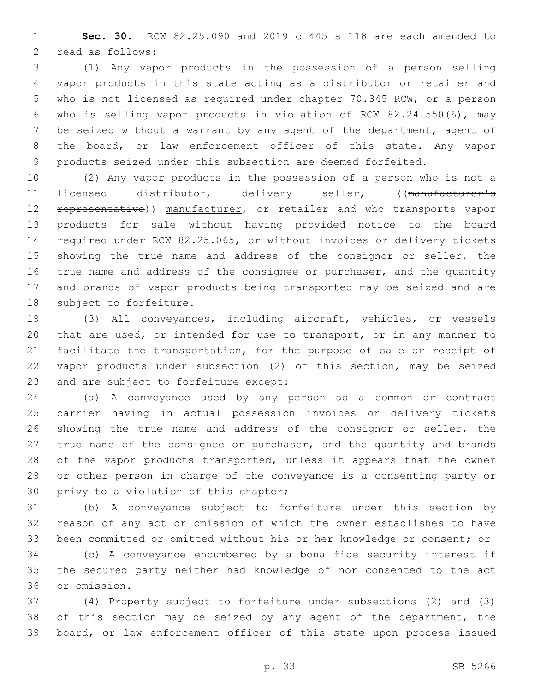**Sec. 30.** RCW 82.25.090 and 2019 c 445 s 118 are each amended to 2 read as follows:

 (1) Any vapor products in the possession of a person selling vapor products in this state acting as a distributor or retailer and who is not licensed as required under chapter 70.345 RCW, or a person who is selling vapor products in violation of RCW 82.24.550(6), may be seized without a warrant by any agent of the department, agent of the board, or law enforcement officer of this state. Any vapor products seized under this subsection are deemed forfeited.

 (2) Any vapor products in the possession of a person who is not a licensed distributor, delivery seller, ((manufacturer's 12 representative)) manufacturer, or retailer and who transports vapor products for sale without having provided notice to the board required under RCW 82.25.065, or without invoices or delivery tickets 15 showing the true name and address of the consignor or seller, the 16 true name and address of the consignee or purchaser, and the quantity and brands of vapor products being transported may be seized and are 18 subject to forfeiture.

 (3) All conveyances, including aircraft, vehicles, or vessels that are used, or intended for use to transport, or in any manner to facilitate the transportation, for the purpose of sale or receipt of vapor products under subsection (2) of this section, may be seized 23 and are subject to forfeiture except:

 (a) A conveyance used by any person as a common or contract carrier having in actual possession invoices or delivery tickets showing the true name and address of the consignor or seller, the true name of the consignee or purchaser, and the quantity and brands 28 of the vapor products transported, unless it appears that the owner or other person in charge of the conveyance is a consenting party or 30 privy to a violation of this chapter;

 (b) A conveyance subject to forfeiture under this section by reason of any act or omission of which the owner establishes to have been committed or omitted without his or her knowledge or consent; or

 (c) A conveyance encumbered by a bona fide security interest if the secured party neither had knowledge of nor consented to the act or omission.36

 (4) Property subject to forfeiture under subsections (2) and (3) 38 of this section may be seized by any agent of the department, the board, or law enforcement officer of this state upon process issued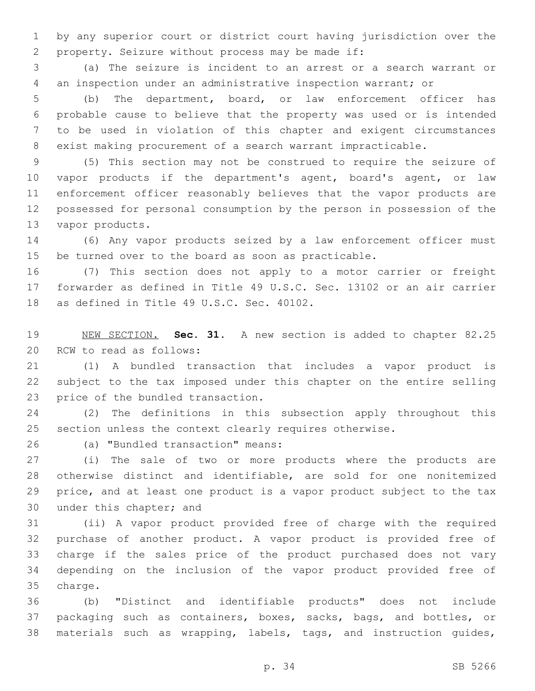by any superior court or district court having jurisdiction over the 2 property. Seizure without process may be made if:

 (a) The seizure is incident to an arrest or a search warrant or an inspection under an administrative inspection warrant; or

 (b) The department, board, or law enforcement officer has probable cause to believe that the property was used or is intended to be used in violation of this chapter and exigent circumstances exist making procurement of a search warrant impracticable.

 (5) This section may not be construed to require the seizure of vapor products if the department's agent, board's agent, or law enforcement officer reasonably believes that the vapor products are possessed for personal consumption by the person in possession of the 13 vapor products.

 (6) Any vapor products seized by a law enforcement officer must be turned over to the board as soon as practicable.

 (7) This section does not apply to a motor carrier or freight forwarder as defined in Title 49 U.S.C. Sec. 13102 or an air carrier 18 as defined in Title 49 U.S.C. Sec. 40102.

 NEW SECTION. **Sec. 31.** A new section is added to chapter 82.25 20 RCW to read as follows:

 (1) A bundled transaction that includes a vapor product is subject to the tax imposed under this chapter on the entire selling 23 price of the bundled transaction.

 (2) The definitions in this subsection apply throughout this section unless the context clearly requires otherwise.

(a) "Bundled transaction" means:26

 (i) The sale of two or more products where the products are otherwise distinct and identifiable, are sold for one nonitemized price, and at least one product is a vapor product subject to the tax 30 under this chapter; and

 (ii) A vapor product provided free of charge with the required purchase of another product. A vapor product is provided free of charge if the sales price of the product purchased does not vary depending on the inclusion of the vapor product provided free of 35 charge.

 (b) "Distinct and identifiable products" does not include packaging such as containers, boxes, sacks, bags, and bottles, or materials such as wrapping, labels, tags, and instruction guides,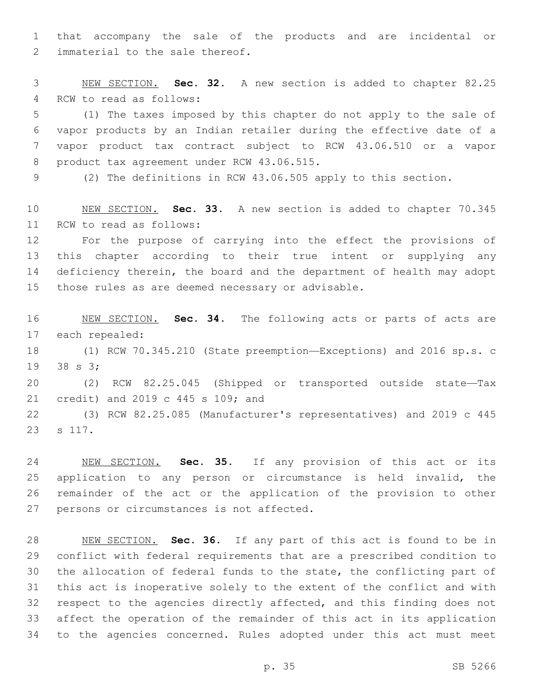that accompany the sale of the products and are incidental or 2 immaterial to the sale thereof.

 NEW SECTION. **Sec. 32.** A new section is added to chapter 82.25 4 RCW to read as follows:

 (1) The taxes imposed by this chapter do not apply to the sale of vapor products by an Indian retailer during the effective date of a vapor product tax contract subject to RCW 43.06.510 or a vapor 8 product tax agreement under RCW 43.06.515.

(2) The definitions in RCW 43.06.505 apply to this section.

 NEW SECTION. **Sec. 33.** A new section is added to chapter 70.345 11 RCW to read as follows:

 For the purpose of carrying into the effect the provisions of this chapter according to their true intent or supplying any deficiency therein, the board and the department of health may adopt 15 those rules as are deemed necessary or advisable.

 NEW SECTION. **Sec. 34.** The following acts or parts of acts are each repealed: (1) RCW 70.345.210 (State preemption—Exceptions) and 2016 sp.s. c 19 38 s 3; (2) RCW 82.25.045 (Shipped or transported outside state—Tax 21 credit) and 2019 c 445 s 109; and (3) RCW 82.25.085 (Manufacturer's representatives) and 2019 c 445 23 s 117.

 NEW SECTION. **Sec. 35.** If any provision of this act or its application to any person or circumstance is held invalid, the remainder of the act or the application of the provision to other persons or circumstances is not affected.

 NEW SECTION. **Sec. 36.** If any part of this act is found to be in conflict with federal requirements that are a prescribed condition to the allocation of federal funds to the state, the conflicting part of this act is inoperative solely to the extent of the conflict and with respect to the agencies directly affected, and this finding does not affect the operation of the remainder of this act in its application to the agencies concerned. Rules adopted under this act must meet